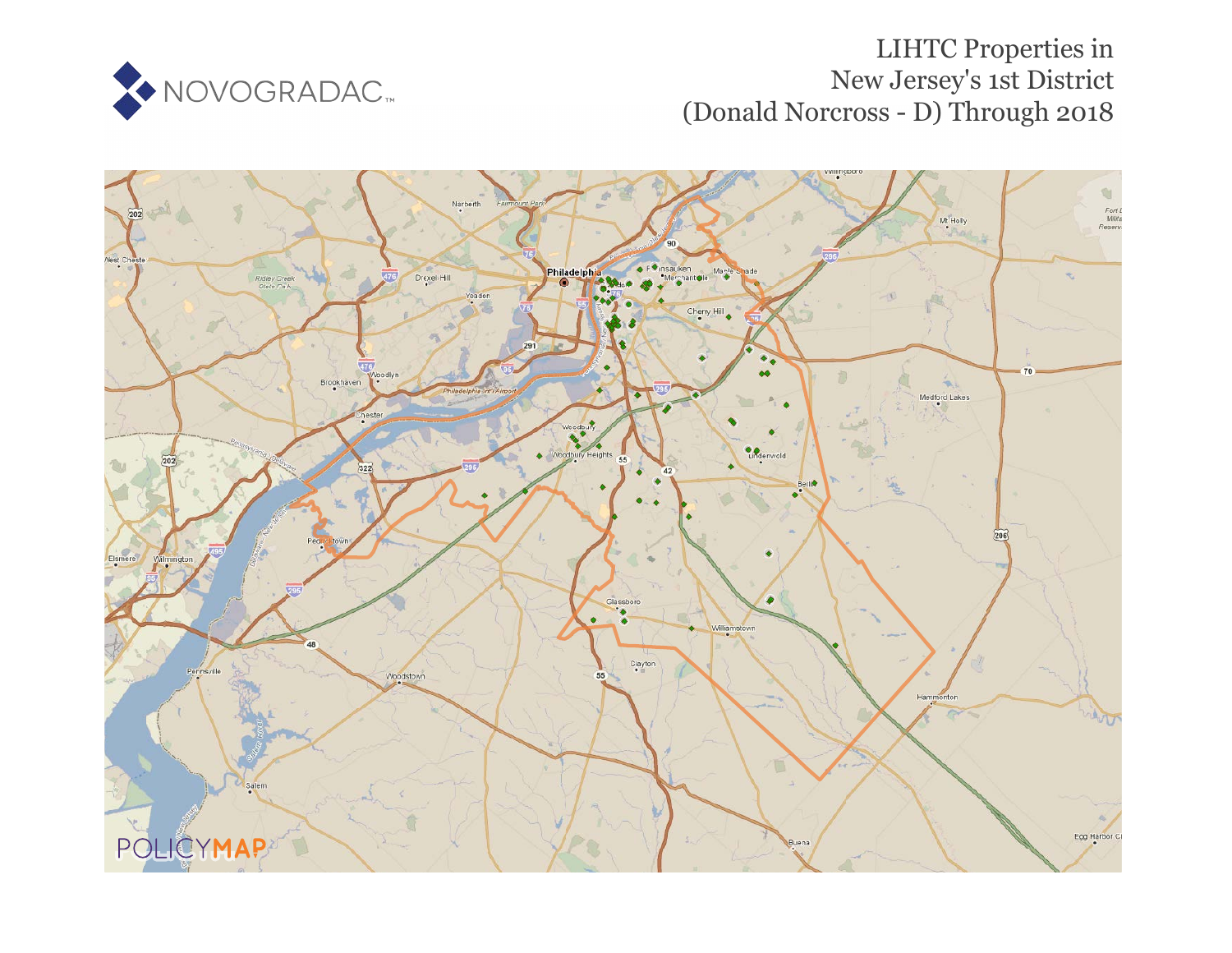

# LIHTC Properties in New Jersey's 1st District (Donald Norcross - D) Through 2018

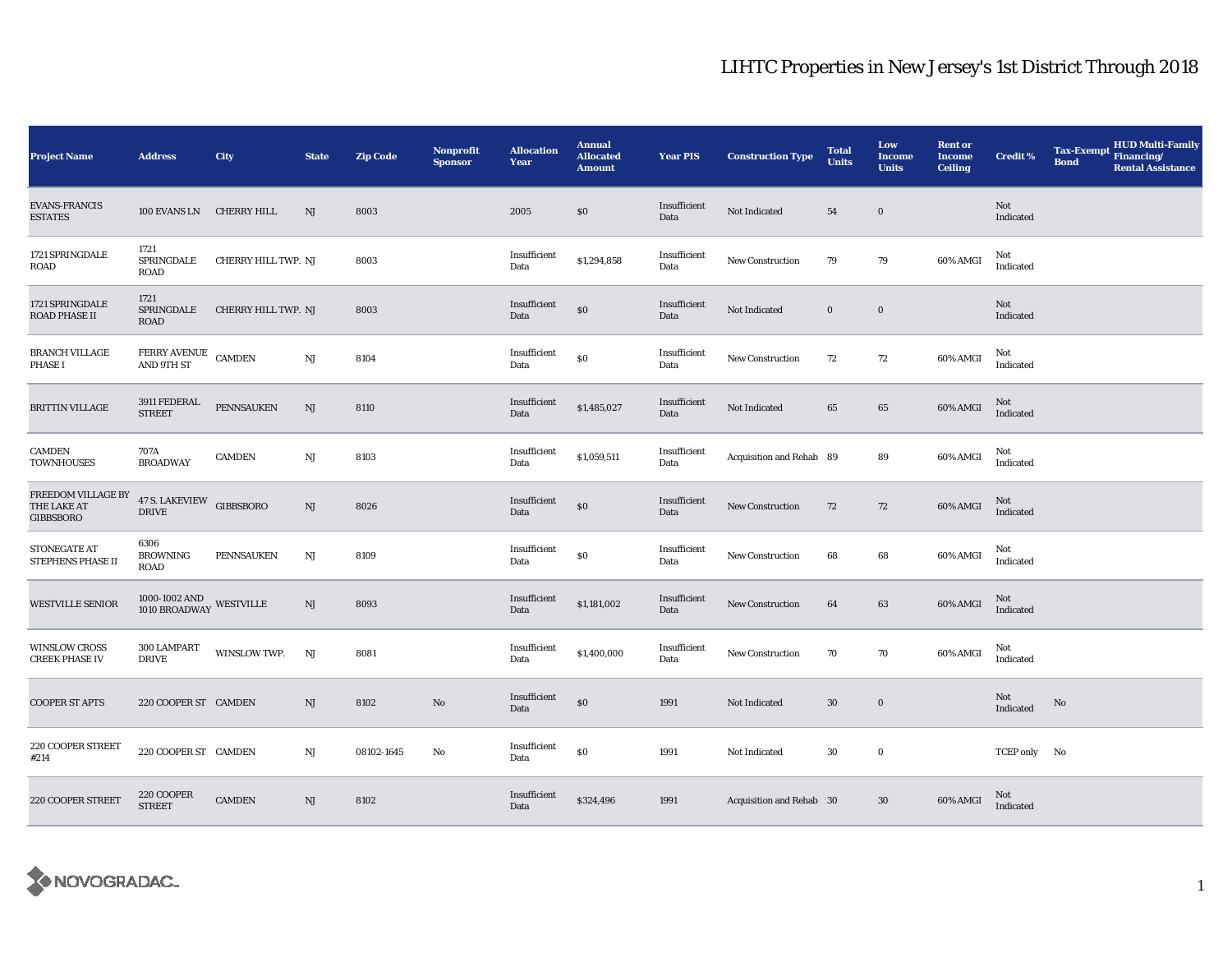| <b>Project Name</b>                                   | <b>Address</b>                                        | City                | <b>State</b>           | <b>Zip Code</b> | <b>Nonprofit</b><br><b>Sponsor</b> | <b>Allocation</b><br>Year | <b>Annual</b><br><b>Allocated</b><br><b>Amount</b> | <b>Year PIS</b>      | <b>Construction Type</b> | <b>Total</b><br><b>Units</b> | Low<br>Income<br><b>Units</b> | <b>Rent or</b><br><b>Income</b><br><b>Ceiling</b> | <b>Credit %</b>  | <b>Tax-Exempt</b><br><b>Bond</b> | <b>HUD Multi-Family</b><br>Financing/<br><b>Rental Assistance</b> |
|-------------------------------------------------------|-------------------------------------------------------|---------------------|------------------------|-----------------|------------------------------------|---------------------------|----------------------------------------------------|----------------------|--------------------------|------------------------------|-------------------------------|---------------------------------------------------|------------------|----------------------------------|-------------------------------------------------------------------|
| <b>EVANS-FRANCIS</b><br><b>ESTATES</b>                | 100 EVANS LN                                          | CHERRY HILL         | NJ                     | 8003            |                                    | 2005                      | \$0                                                | Insufficient<br>Data | Not Indicated            | 54                           | $\bf{0}$                      |                                                   | Not<br>Indicated |                                  |                                                                   |
| 1721 SPRINGDALE<br>ROAD                               | 1721<br>SPRINGDALE<br><b>ROAD</b>                     | CHERRY HILL TWP. NJ |                        | 8003            |                                    | Insufficient<br>Data      | \$1,294,858                                        | Insufficient<br>Data | <b>New Construction</b>  | 79                           | 79                            | 60% AMGI                                          | Not<br>Indicated |                                  |                                                                   |
| 1721 SPRINGDALE<br>ROAD PHASE II                      | 1721<br>SPRINGDALE<br><b>ROAD</b>                     | CHERRY HILL TWP. NJ |                        | 8003            |                                    | Insufficient<br>Data      | $\$0$                                              | Insufficient<br>Data | Not Indicated            | $\bf{0}$                     | $\bf{0}$                      |                                                   | Not<br>Indicated |                                  |                                                                   |
| <b>BRANCH VILLAGE</b><br><b>PHASE I</b>               | FERRY AVENUE CAMDEN<br><b>AND 9TH ST</b>              |                     | $\mathbf{N}\mathbf{J}$ | 8104            |                                    | Insufficient<br>Data      | $\$0$                                              | Insufficient<br>Data | New Construction         | 72                           | 72                            | 60% AMGI                                          | Not<br>Indicated |                                  |                                                                   |
| <b>BRITTIN VILLAGE</b>                                | 3911 FEDERAL<br><b>STREET</b>                         | PENNSAUKEN          | $\rm{NJ}$              | 8110            |                                    | Insufficient<br>Data      | \$1,485,027                                        | Insufficient<br>Data | Not Indicated            | 65                           | 65                            | 60% AMGI                                          | Not<br>Indicated |                                  |                                                                   |
| CAMDEN<br><b>TOWNHOUSES</b>                           | 707A<br><b>BROADWAY</b>                               | <b>CAMDEN</b>       | $\rm{NJ}$              | 8103            |                                    | Insufficient<br>Data      | \$1,059,511                                        | Insufficient<br>Data | Acquisition and Rehab 89 |                              | 89                            | 60% AMGI                                          | Not<br>Indicated |                                  |                                                                   |
| FREEDOM VILLAGE BY<br>THE LAKE AT<br><b>GIBBSBORO</b> | 47 S. LAKEVIEW GIBBSBORO<br><b>DRIVE</b>              |                     | $\rm{NJ}$              | 8026            |                                    | Insufficient<br>Data      | $\$0$                                              | Insufficient<br>Data | <b>New Construction</b>  | 72                           | 72                            | 60% AMGI                                          | Not<br>Indicated |                                  |                                                                   |
| STONEGATE AT<br>STEPHENS PHASE II                     | 6306<br><b>BROWNING</b><br><b>ROAD</b>                | <b>PENNSAUKEN</b>   | NJ                     | 8109            |                                    | Insufficient<br>Data      | \$0                                                | Insufficient<br>Data | <b>New Construction</b>  | 68                           | 68                            | 60% AMGI                                          | Not<br>Indicated |                                  |                                                                   |
| <b>WESTVILLE SENIOR</b>                               | $1000$ - $1002$ AND $$\tt WESTVILLE$$ $1010$ BROADWAY |                     | NJ                     | 8093            |                                    | Insufficient<br>Data      | \$1,181,002                                        | Insufficient<br>Data | New Construction         | 64                           | 63                            | 60% AMGI                                          | Not<br>Indicated |                                  |                                                                   |
| <b>WINSLOW CROSS</b><br><b>CREEK PHASE IV</b>         | 300 LAMPART<br><b>DRIVE</b>                           | WINSLOW TWP.        | NJ                     | 8081            |                                    | Insufficient<br>Data      | \$1,400,000                                        | Insufficient<br>Data | <b>New Construction</b>  | 70                           | 70                            | 60% AMGI                                          | Not<br>Indicated |                                  |                                                                   |
| <b>COOPER ST APTS</b>                                 | 220 COOPER ST CAMDEN                                  |                     | NJ                     | 8102            | No                                 | Insufficient<br>Data      | $\$0$                                              | 1991                 | Not Indicated            | $30\,$                       | $\bf{0}$                      |                                                   | Not<br>Indicated | No                               |                                                                   |
| 220 COOPER STREET<br>#214                             | 220 COOPER ST CAMDEN                                  |                     | $\mathbf{N}\mathbf{J}$ | 08102-1645      | No                                 | Insufficient<br>Data      | \$0                                                | 1991                 | Not Indicated            | 30                           | $\bf{0}$                      |                                                   | TCEP only No     |                                  |                                                                   |
| 220 COOPER STREET                                     | 220 COOPER<br><b>STREET</b>                           | <b>CAMDEN</b>       | $\rm{NJ}$              | 8102            |                                    | Insufficient<br>Data      | \$324,496                                          | 1991                 | Acquisition and Rehab 30 |                              | $30\,$                        | 60% AMGI                                          | Not<br>Indicated |                                  |                                                                   |

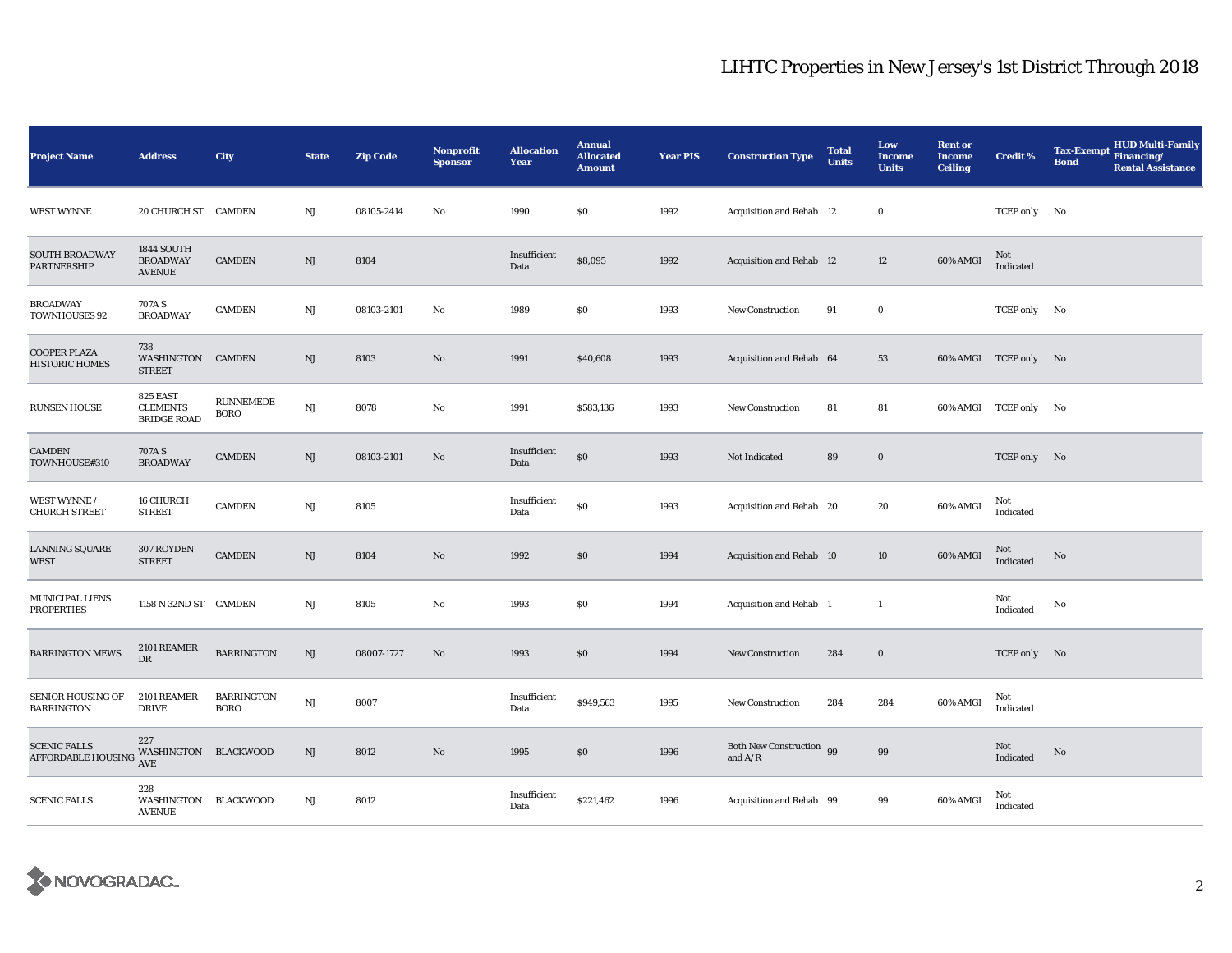| <b>Project Name</b>                                                   | <b>Address</b>                                    | City                             | <b>State</b>           | <b>Zip Code</b> | Nonprofit<br><b>Sponsor</b> | <b>Allocation</b><br>Year | <b>Annual</b><br><b>Allocated</b><br><b>Amount</b> | <b>Year PIS</b> | <b>Construction Type</b>              | <b>Total</b><br><b>Units</b> | Low<br><b>Income</b><br><b>Units</b> | <b>Rent or</b><br><b>Income</b><br><b>Ceiling</b> | <b>Credit %</b>       | <b>HUD Multi-Family</b><br><b>Tax-Exempt</b><br>Financing/<br><b>Bond</b><br><b>Rental Assistance</b> |
|-----------------------------------------------------------------------|---------------------------------------------------|----------------------------------|------------------------|-----------------|-----------------------------|---------------------------|----------------------------------------------------|-----------------|---------------------------------------|------------------------------|--------------------------------------|---------------------------------------------------|-----------------------|-------------------------------------------------------------------------------------------------------|
| <b>WEST WYNNE</b>                                                     | 20 CHURCH ST CAMDEN                               |                                  | NJ                     | 08105-2414      | No                          | 1990                      | \$0                                                | 1992            | Acquisition and Rehab 12              |                              | $\bf{0}$                             |                                                   | TCEP only No          |                                                                                                       |
| <b>SOUTH BROADWAY</b><br>PARTNERSHIP                                  | 1844 SOUTH<br><b>BROADWAY</b><br><b>AVENUE</b>    | <b>CAMDEN</b>                    | $\rm{NJ}$              | 8104            |                             | Insufficient<br>Data      | \$8,095                                            | 1992            | Acquisition and Rehab 12              |                              | 12                                   | 60% AMGI                                          | Not<br>Indicated      |                                                                                                       |
| <b>BROADWAY</b><br><b>TOWNHOUSES 92</b>                               | 707A S<br><b>BROADWAY</b>                         | <b>CAMDEN</b>                    | $_{\rm NJ}$            | 08103-2101      | No                          | 1989                      | \$0                                                | 1993            | <b>New Construction</b>               | 91                           | $\bf{0}$                             |                                                   | TCEP only No          |                                                                                                       |
| <b>COOPER PLAZA</b><br><b>HISTORIC HOMES</b>                          | 738<br>WASHINGTON<br><b>STREET</b>                | CAMDEN                           | $\rm{NJ}$              | 8103            | $\mathbf{No}$               | 1991                      | \$40,608                                           | 1993            | Acquisition and Rehab 64              |                              | 53                                   |                                                   | 60% AMGI TCEP only No |                                                                                                       |
| <b>RUNSEN HOUSE</b>                                                   | 825 EAST<br><b>CLEMENTS</b><br><b>BRIDGE ROAD</b> | RUNNEMEDE<br><b>BORO</b>         | $\mathbf{N}\mathbf{J}$ | 8078            | No                          | 1991                      | \$583,136                                          | 1993            | <b>New Construction</b>               | 81                           | 81                                   | 60% AMGI                                          | TCEP only No          |                                                                                                       |
| CAMDEN<br>TOWNHOUSE#310                                               | 707A S<br><b>BROADWAY</b>                         | <b>CAMDEN</b>                    | NJ                     | 08103-2101      | $\rm No$                    | Insufficient<br>Data      | \$0                                                | 1993            | Not Indicated                         | 89                           | $\bf{0}$                             |                                                   | TCEP only No          |                                                                                                       |
| WEST WYNNE /<br><b>CHURCH STREET</b>                                  | 16 CHURCH<br><b>STREET</b>                        | <b>CAMDEN</b>                    | $_{\rm NJ}$            | 8105            |                             | Insufficient<br>Data      | \$0                                                | 1993            | Acquisition and Rehab 20              |                              | 20                                   | 60% AMGI                                          | Not<br>Indicated      |                                                                                                       |
| LANNING SQUARE<br>WEST                                                | 307 ROYDEN<br><b>STREET</b>                       | <b>CAMDEN</b>                    | $\mathbf{N}\mathbf{J}$ | 8104            | $\rm No$                    | 1992                      | \$0                                                | 1994            | Acquisition and Rehab 10              |                              | 10                                   | 60% AMGI                                          | Not<br>Indicated      | No                                                                                                    |
| MUNICIPAL LIENS<br><b>PROPERTIES</b>                                  | 1158 N 32ND ST CAMDEN                             |                                  | $_{\rm NJ}$            | 8105            | No                          | 1993                      | \$0                                                | 1994            | Acquisition and Rehab 1               |                              | $\mathbf{1}$                         |                                                   | Not<br>Indicated      | $\mathbf{No}$                                                                                         |
| <b>BARRINGTON MEWS</b>                                                | 2101 REAMER<br>DR                                 | <b>BARRINGTON</b>                | NJ                     | 08007-1727      | $\mathbf{No}$               | 1993                      | \$0                                                | 1994            | <b>New Construction</b>               | 284                          | $\bf{0}$                             |                                                   | TCEP only No          |                                                                                                       |
| <b>SENIOR HOUSING OF</b><br><b>BARRINGTON</b>                         | 2101 REAMER<br><b>DRIVE</b>                       | <b>BARRINGTON</b><br><b>BORO</b> | NJ                     | 8007            |                             | Insufficient<br>Data      | \$949,563                                          | 1995            | <b>New Construction</b>               | 284                          | 284                                  | 60% AMGI                                          | Not<br>Indicated      |                                                                                                       |
| <b>SCENIC FALLS</b><br><b>AFFORDABLE HOUSING WASHINGTON BLACKWOOD</b> | 227                                               |                                  | $\rm{NJ}$              | 8012            | $\mathbf{No}$               | 1995                      | \$0                                                | 1996            | Both New Construction 99<br>and $A/R$ |                              | 99                                   |                                                   | Not<br>Indicated      | No                                                                                                    |
| <b>SCENIC FALLS</b>                                                   | 228<br>WASHINGTON BLACKWOOD<br><b>AVENUE</b>      |                                  | $_{\rm NJ}$            | 8012            |                             | Insufficient<br>Data      | \$221,462                                          | 1996            | Acquisition and Rehab 99              |                              | 99                                   | 60% AMGI                                          | Not<br>Indicated      |                                                                                                       |

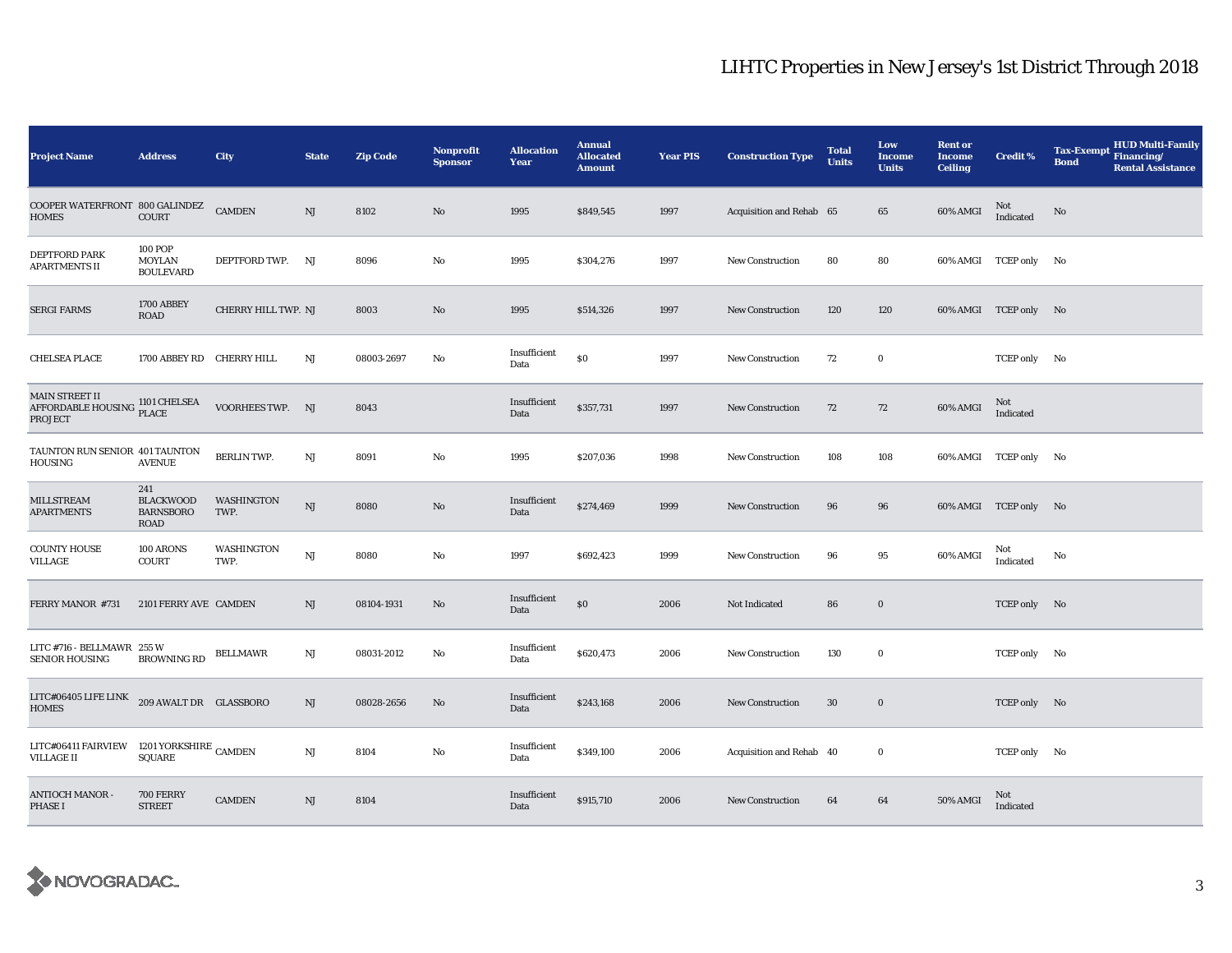| <b>Project Name</b>                                            | <b>Address</b>                                      | City                | <b>State</b>           | <b>Zip Code</b> | <b>Nonprofit</b><br><b>Sponsor</b> | <b>Allocation</b><br><b>Year</b> | <b>Annual</b><br><b>Allocated</b><br><b>Amount</b> | <b>Year PIS</b> | <b>Construction Type</b> | <b>Total</b><br><b>Units</b> | Low<br><b>Income</b><br><b>Units</b> | <b>Rent or</b><br><b>Income</b><br><b>Ceiling</b> | <b>Credit %</b>       | <b>HUD Multi-Family</b><br><b>Tax-Exempt</b><br>Financing/<br><b>Bond</b><br><b>Rental Assistance</b> |
|----------------------------------------------------------------|-----------------------------------------------------|---------------------|------------------------|-----------------|------------------------------------|----------------------------------|----------------------------------------------------|-----------------|--------------------------|------------------------------|--------------------------------------|---------------------------------------------------|-----------------------|-------------------------------------------------------------------------------------------------------|
| COOPER WATERFRONT 800 GALINDEZ<br><b>HOMES</b>                 | COURT                                               | <b>CAMDEN</b>       | NJ                     | 8102            | $\mathbf{N}\mathbf{o}$             | 1995                             | \$849,545                                          | 1997            | Acquisition and Rehab 65 |                              | 65                                   | 60% AMGI                                          | Not<br>Indicated      | No                                                                                                    |
| <b>DEPTFORD PARK</b><br><b>APARTMENTS II</b>                   | <b>100 POP</b><br>MOYLAN<br><b>BOULEVARD</b>        | DEPTFORD TWP. NJ    |                        | 8096            | No                                 | 1995                             | \$304,276                                          | 1997            | <b>New Construction</b>  | 80                           | 80                                   |                                                   | 60% AMGI TCEP only No |                                                                                                       |
| <b>SERGI FARMS</b>                                             | 1700 ABBEY<br><b>ROAD</b>                           | CHERRY HILL TWP. NJ |                        | 8003            | No                                 | 1995                             | \$514,326                                          | 1997            | New Construction         | 120                          | 120                                  |                                                   | 60% AMGI TCEP only No |                                                                                                       |
| <b>CHELSEA PLACE</b>                                           | 1700 ABBEY RD CHERRY HILL                           |                     | NJ                     | 08003-2697      | No                                 | Insufficient<br>Data             | \$0                                                | 1997            | <b>New Construction</b>  | 72                           | $\bf{0}$                             |                                                   | TCEP only No          |                                                                                                       |
| MAIN STREET II<br><b>AFFORDABLE HOUSING</b><br><b>PROJECT</b>  | 1101 CHELSEA<br><b>PLACE</b>                        | VOORHEES TWP. NJ    |                        | 8043            |                                    | Insufficient<br>Data             | \$357,731                                          | 1997            | <b>New Construction</b>  | 72                           | 72                                   | 60% AMGI                                          | Not<br>Indicated      |                                                                                                       |
| TAUNTON RUN SENIOR 401 TAUNTON<br><b>HOUSING</b>               | <b>AVENUE</b>                                       | <b>BERLIN TWP.</b>  | $_{\rm NJ}$            | 8091            | $\mathbf{No}$                      | 1995                             | \$207,036                                          | 1998            | <b>New Construction</b>  | 108                          | 108                                  |                                                   | 60% AMGI TCEP only No |                                                                                                       |
| <b>MILLSTREAM</b><br><b>APARTMENTS</b>                         | 241<br><b>BLACKWOOD</b><br><b>BARNSBORO</b><br>ROAD | WASHINGTON<br>TWP.  | $\mathbf{N}\mathbf{J}$ | 8080            | $\mathbf{N}\mathbf{o}$             | Insufficient<br>Data             | \$274,469                                          | 1999            | <b>New Construction</b>  | 96                           | 96                                   |                                                   | 60% AMGI TCEP only No |                                                                                                       |
| <b>COUNTY HOUSE</b><br>VILLAGE                                 | 100 ARONS<br>COURT                                  | WASHINGTON<br>TWP.  | NJ                     | 8080            | No                                 | 1997                             | \$692,423                                          | 1999            | <b>New Construction</b>  | 96                           | 95                                   | 60% AMGI                                          | Not<br>Indicated      | No                                                                                                    |
| FERRY MANOR #731                                               | 2101 FERRY AVE CAMDEN                               |                     | $\rm{NJ}$              | 08104-1931      | No                                 | Insufficient<br>Data             | \$0                                                | 2006            | Not Indicated            | 86                           | $\bf{0}$                             |                                                   | TCEP only No          |                                                                                                       |
| LITC #716 - BELLMAWR 255 W<br><b>SENIOR HOUSING</b>            | <b>BROWNING RD</b>                                  | BELLMAWR            | NJ                     | 08031-2012      | No                                 | Insufficient<br>Data             | \$620,473                                          | 2006            | New Construction         | 130                          | $\bf{0}$                             |                                                   | TCEP only No          |                                                                                                       |
| LITC#06405 LIFE LINK<br><b>HOMES</b>                           | 209 AWALT DR GLASSBORO                              |                     | NJ                     | 08028-2656      | No                                 | Insufficient<br>Data             | \$243,168                                          | 2006            | <b>New Construction</b>  | 30                           | $\bf{0}$                             |                                                   | TCEP only No          |                                                                                                       |
| LITC#06411 FAIRVIEW 1201 YORKSHIRE CAMDEN<br><b>VILLAGE II</b> | SQUARE                                              |                     | $\mathbf{N}\mathbf{J}$ | 8104            | No                                 | Insufficient<br>Data             | \$349,100                                          | 2006            | Acquisition and Rehab 40 |                              | $\bf{0}$                             |                                                   | TCEP only No          |                                                                                                       |
| <b>ANTIOCH MANOR -</b><br><b>PHASE I</b>                       | <b>700 FERRY</b><br><b>STREET</b>                   | <b>CAMDEN</b>       | $\rm{NJ}$              | 8104            |                                    | Insufficient<br>Data             | \$915,710                                          | 2006            | <b>New Construction</b>  | 64                           | 64                                   | 50% AMGI                                          | Not<br>Indicated      |                                                                                                       |

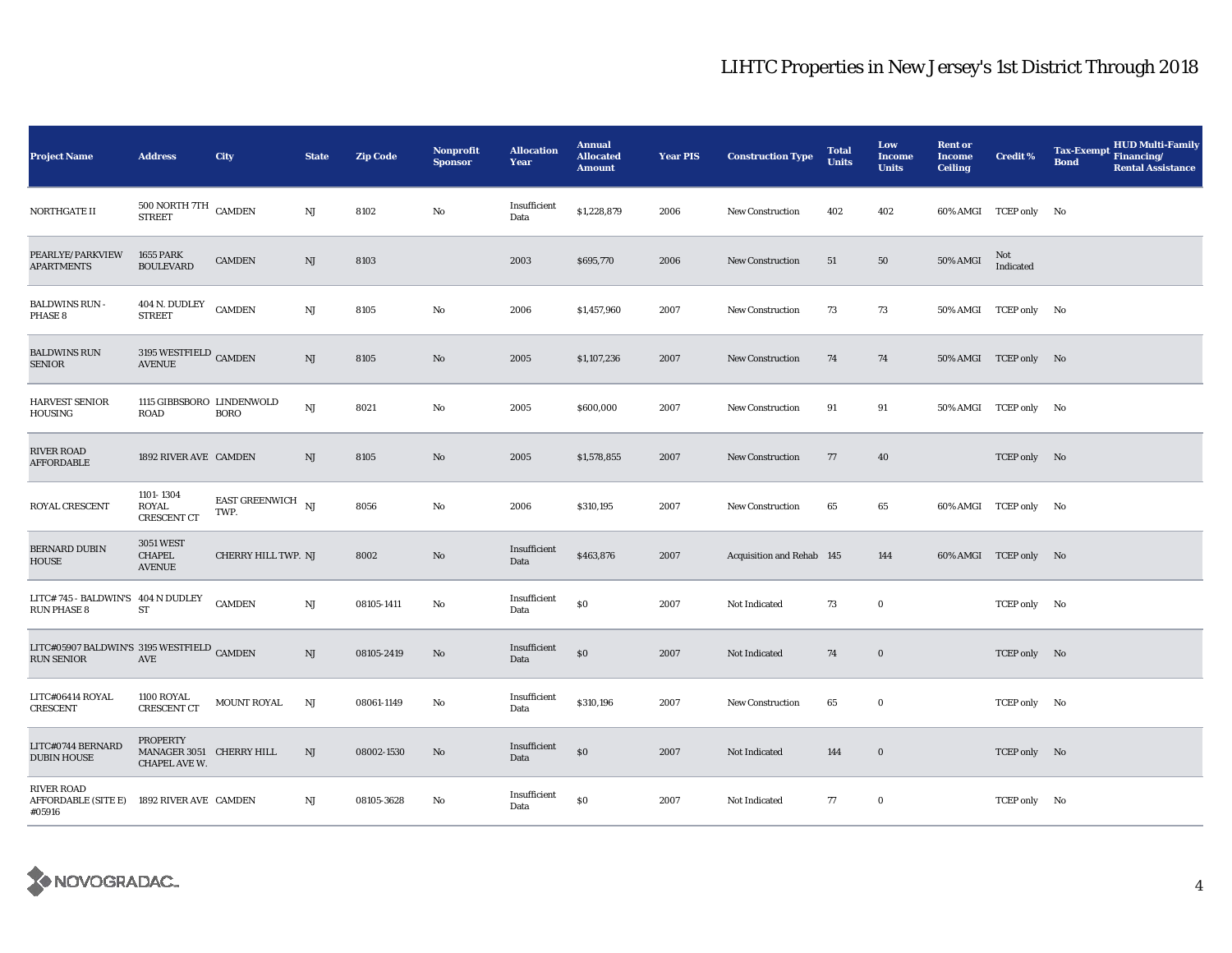| <b>Project Name</b>                                             | <b>Address</b>                                               | City                               | <b>State</b>           | <b>Zip Code</b> | <b>Nonprofit</b><br><b>Sponsor</b> | <b>Allocation</b><br>Year | <b>Annual</b><br><b>Allocated</b><br><b>Amount</b> | <b>Year PIS</b> | <b>Construction Type</b>  | <b>Total</b><br><b>Units</b> | Low<br><b>Income</b><br><b>Units</b> | <b>Rent or</b><br><b>Income</b><br><b>Ceiling</b> | <b>Credit %</b>       | <b>HUD Multi-Family</b><br><b>Tax-Exempt</b><br>Financing/<br><b>Bond</b><br><b>Rental Assistance</b> |
|-----------------------------------------------------------------|--------------------------------------------------------------|------------------------------------|------------------------|-----------------|------------------------------------|---------------------------|----------------------------------------------------|-----------------|---------------------------|------------------------------|--------------------------------------|---------------------------------------------------|-----------------------|-------------------------------------------------------------------------------------------------------|
| NORTHGATE II                                                    | $500\, \mathrm{NORTH}$ 7TH<br><b>STREET</b>                  | <b>CAMDEN</b>                      | $\mathbf{N}\mathbf{J}$ | 8102            | No                                 | Insufficient<br>Data      | \$1,228,879                                        | 2006            | <b>New Construction</b>   | 402                          | 402                                  |                                                   | 60% AMGI TCEP only No |                                                                                                       |
| PEARLYE/PARKVIEW<br><b>APARTMENTS</b>                           | <b>1655 PARK</b><br><b>BOULEVARD</b>                         | <b>CAMDEN</b>                      | $\rm{NJ}$              | 8103            |                                    | 2003                      | \$695,770                                          | 2006            | <b>New Construction</b>   | 51                           | 50                                   | <b>50% AMGI</b>                                   | Not<br>Indicated      |                                                                                                       |
| <b>BALDWINS RUN -</b><br>PHASE 8                                | 404 N. DUDLEY<br><b>STREET</b>                               | <b>CAMDEN</b>                      | $\mathbf{N}\mathbf{J}$ | 8105            | No                                 | 2006                      | \$1,457,960                                        | 2007            | <b>New Construction</b>   | 73                           | 73                                   |                                                   | 50% AMGI TCEP only No |                                                                                                       |
| <b>BALDWINS RUN</b><br><b>SENIOR</b>                            | 3195 WESTFIELD $_{\rm CAMDEN}$<br><b>AVENUE</b>              |                                    | $\mathbf{N}\mathbf{J}$ | 8105            | $\mathbf{N}\mathbf{o}$             | 2005                      | \$1,107,236                                        | 2007            | <b>New Construction</b>   | 74                           | 74                                   |                                                   | 50% AMGI TCEP only No |                                                                                                       |
| HARVEST SENIOR<br>HOUSING                                       | 1115 GIBBSBORO LINDENWOLD<br><b>ROAD</b>                     | <b>BORO</b>                        | NJ                     | 8021            | No                                 | 2005                      | \$600,000                                          | 2007            | <b>New Construction</b>   | 91                           | 91                                   |                                                   | 50% AMGI TCEP only No |                                                                                                       |
| <b>RIVER ROAD</b><br><b>AFFORDABLE</b>                          | 1892 RIVER AVE CAMDEN                                        |                                    | NJ                     | 8105            | No                                 | 2005                      | \$1,578,855                                        | 2007            | New Construction          | 77                           | 40                                   |                                                   | TCEP only No          |                                                                                                       |
| ROYAL CRESCENT                                                  | 1101-1304<br>ROYAL<br><b>CRESCENT CT</b>                     | EAST GREENWICH $_{\rm NJ}$<br>TWP. |                        | 8056            | No                                 | 2006                      | \$310,195                                          | 2007            | <b>New Construction</b>   | 65                           | 65                                   |                                                   | 60% AMGI TCEP only No |                                                                                                       |
| <b>BERNARD DUBIN</b><br><b>HOUSE</b>                            | <b>3051 WEST</b><br><b>CHAPEL</b><br><b>AVENUE</b>           | <b>CHERRY HILL TWP. NJ</b>         |                        | 8002            | No                                 | Insufficient<br>Data      | \$463,876                                          | 2007            | Acquisition and Rehab 145 |                              | 144                                  |                                                   | 60% AMGI TCEP only No |                                                                                                       |
| LITC#745 - BALDWIN'S 404 N DUDLEY<br><b>RUN PHASE 8</b>         | ${\rm ST}$                                                   | <b>CAMDEN</b>                      | $_{\rm NJ}$            | 08105-1411      | No                                 | Insufficient<br>Data      | \$0                                                | 2007            | Not Indicated             | 73                           | $\bf{0}$                             |                                                   | TCEP only No          |                                                                                                       |
| LITC#05907 BALDWIN'S 3195 WESTFIELD CAMDEN<br><b>RUN SENIOR</b> | AVE                                                          |                                    | NJ                     | 08105-2419      | No                                 | Insufficient<br>Data      | \$0                                                | 2007            | Not Indicated             | 74                           | $\bf{0}$                             |                                                   | TCEP only No          |                                                                                                       |
| LITC#06414 ROYAL<br>CRESCENT                                    | 1100 ROYAL<br><b>CRESCENT CT</b>                             | <b>MOUNT ROYAL</b>                 | NJ                     | 08061-1149      | No                                 | Insufficient<br>Data      | \$310,196                                          | 2007            | New Construction          | 65                           | $\bf{0}$                             |                                                   | TCEP only No          |                                                                                                       |
| LITC#0744 BERNARD<br><b>DUBIN HOUSE</b>                         | <b>PROPERTY</b><br>MANAGER 3051 CHERRY HILL<br>CHAPEL AVE W. |                                    | NJ                     | 08002-1530      | No                                 | Insufficient<br>Data      | \$0                                                | 2007            | Not Indicated             | 144                          | $\bf{0}$                             |                                                   | TCEP only No          |                                                                                                       |
| <b>RIVER ROAD</b><br>AFFORDABLE (SITE E)<br>#05916              | 1892 RIVER AVE CAMDEN                                        |                                    | NJ                     | 08105-3628      | No                                 | Insufficient<br>Data      | \$0                                                | 2007            | Not Indicated             | 77                           | $\bf{0}$                             |                                                   | TCEP only No          |                                                                                                       |

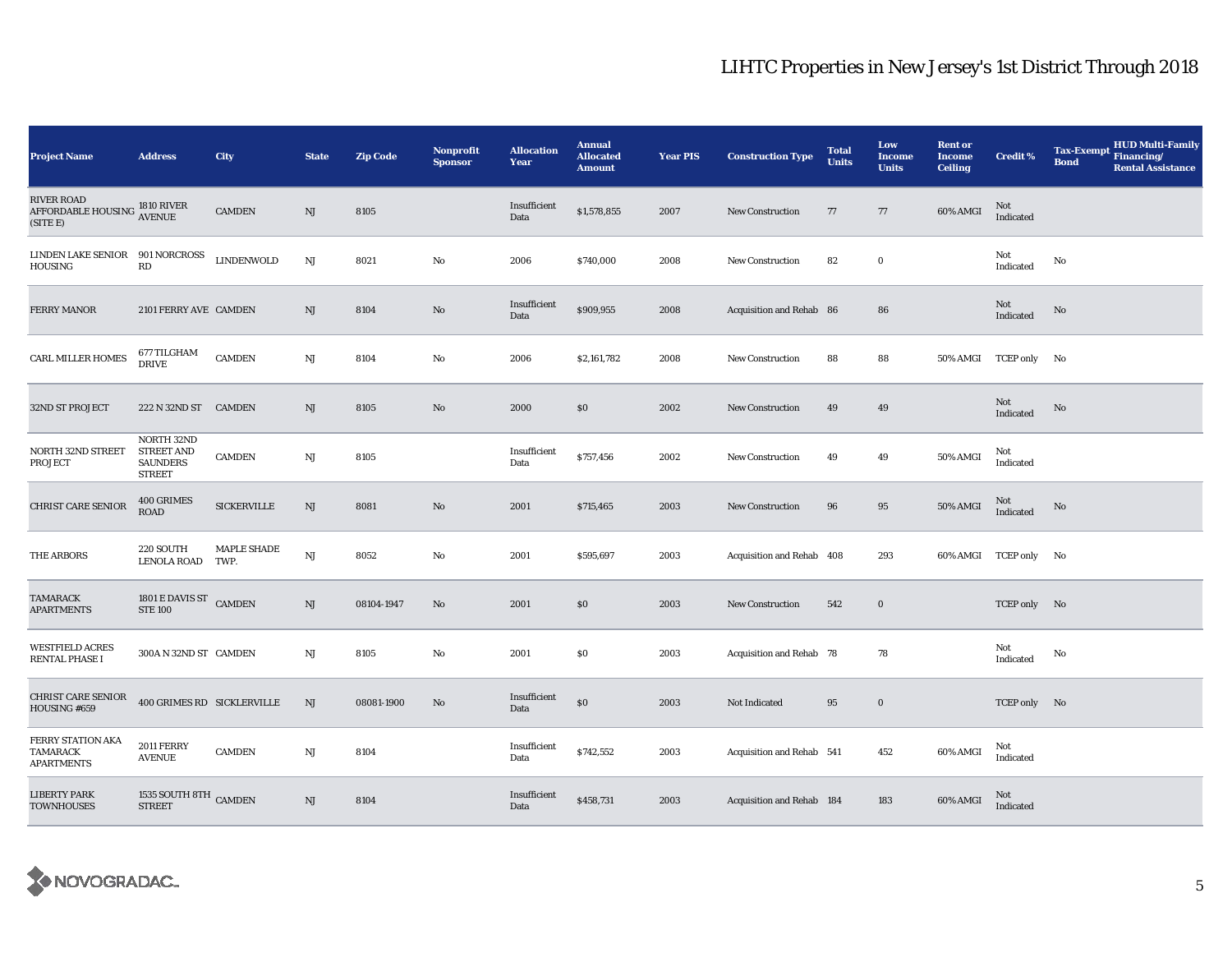| <b>Project Name</b>                                | <b>Address</b>                                                      | City                | <b>State</b> | <b>Zip Code</b> | <b>Nonprofit</b><br><b>Sponsor</b> | <b>Allocation</b><br>Year | <b>Annual</b><br><b>Allocated</b><br><b>Amount</b> | <b>Year PIS</b> | <b>Construction Type</b>  | <b>Total</b><br><b>Units</b> | Low<br>Income<br><b>Units</b> | <b>Rent or</b><br><b>Income</b><br><b>Ceiling</b> | <b>Credit %</b>       | <b>HUD Multi-Family</b><br><b>Tax-Exempt</b><br>Financing/<br><b>Bond</b><br><b>Rental Assistance</b> |
|----------------------------------------------------|---------------------------------------------------------------------|---------------------|--------------|-----------------|------------------------------------|---------------------------|----------------------------------------------------|-----------------|---------------------------|------------------------------|-------------------------------|---------------------------------------------------|-----------------------|-------------------------------------------------------------------------------------------------------|
| RIVER ROAD<br>AFFORDABLE HOUSING<br>(SITE E)       | <b>1810 RIVER</b><br><b>AVENUE</b>                                  | <b>CAMDEN</b>       | NJ           | 8105            |                                    | Insufficient<br>Data      | \$1,578,855                                        | 2007            | <b>New Construction</b>   | 77                           | 77                            | 60% AMGI                                          | Not<br>Indicated      |                                                                                                       |
| LINDEN LAKE SENIOR<br>HOUSING                      | 901 NORCROSS<br>RD                                                  | <b>LINDENWOLD</b>   | NJ           | 8021            | No                                 | 2006                      | \$740,000                                          | 2008            | <b>New Construction</b>   | 82                           | $\bf{0}$                      |                                                   | Not<br>Indicated      | No                                                                                                    |
| <b>FERRY MANOR</b>                                 | 2101 FERRY AVE CAMDEN                                               |                     | NJ           | 8104            | No                                 | Insufficient<br>Data      | \$909,955                                          | 2008            | Acquisition and Rehab 86  |                              | 86                            |                                                   | Not<br>Indicated      | $\mathbf{N}\mathbf{o}$                                                                                |
| <b>CARL MILLER HOMES</b>                           | 677 TILGHAM<br><b>DRIVE</b>                                         | <b>CAMDEN</b>       | NJ           | 8104            | No                                 | 2006                      | \$2,161,782                                        | 2008            | New Construction          | 88                           | 88                            |                                                   | 50% AMGI TCEP only No |                                                                                                       |
| 32ND ST PROJECT                                    | 222 N 32ND ST CAMDEN                                                |                     | NJ           | 8105            | No                                 | 2000                      | \$0                                                | 2002            | <b>New Construction</b>   | 49                           | 49                            |                                                   | Not<br>Indicated      | No                                                                                                    |
| NORTH 32ND STREET<br>PROJECT                       | NORTH 32ND<br><b>STREET AND</b><br><b>SAUNDERS</b><br><b>STREET</b> | <b>CAMDEN</b>       | NJ           | 8105            |                                    | Insufficient<br>Data      | \$757,456                                          | 2002            | <b>New Construction</b>   | 49                           | 49                            | 50% AMGI                                          | Not<br>Indicated      |                                                                                                       |
| <b>CHRIST CARE SENIOR</b>                          | 400 GRIMES<br><b>ROAD</b>                                           | <b>SICKERVILLE</b>  | NJ           | 8081            | No                                 | 2001                      | \$715,465                                          | 2003            | New Construction          | 96                           | 95                            | 50% AMGI                                          | Not<br>Indicated      | $\mathbf{N}\mathbf{o}$                                                                                |
| THE ARBORS                                         | 220 SOUTH<br><b>LENOLA ROAD</b>                                     | MAPLE SHADE<br>TWP. | NJ           | 8052            | No                                 | 2001                      | \$595,697                                          | 2003            | Acquisition and Rehab 408 |                              | 293                           | 60% AMGI TCEP only                                |                       | No.                                                                                                   |
| TAMARACK<br><b>APARTMENTS</b>                      | 1801 E DAVIS ST CAMDEN<br><b>STE 100</b>                            |                     | NJ           | 08104-1947      | No                                 | 2001                      | \$0                                                | 2003            | New Construction          | 542                          | $\bf{0}$                      |                                                   | TCEP only No          |                                                                                                       |
| <b>WESTFIELD ACRES</b><br>RENTAL PHASE I           | 300A N 32ND ST CAMDEN                                               |                     | NJ           | 8105            | No                                 | 2001                      | \$0                                                | 2003            | Acquisition and Rehab 78  |                              | 78                            |                                                   | Not<br>Indicated      | No                                                                                                    |
| <b>CHRIST CARE SENIOR</b><br>HOUSING #659          | 400 GRIMES RD SICKLERVILLE                                          |                     | NJ           | 08081-1900      | No                                 | Insufficient<br>Data      | \$0                                                | 2003            | Not Indicated             | 95                           | $\bf{0}$                      |                                                   | TCEP only No          |                                                                                                       |
| FERRY STATION AKA<br>TAMARACK<br><b>APARTMENTS</b> | <b>2011 FERRY</b><br><b>AVENUE</b>                                  | <b>CAMDEN</b>       | NJ           | 8104            |                                    | Insufficient<br>Data      | \$742,552                                          | 2003            | Acquisition and Rehab 541 |                              | 452                           | 60% AMGI                                          | Not<br>Indicated      |                                                                                                       |
| LIBERTY PARK<br><b>TOWNHOUSES</b>                  | 1535 SOUTH 8TH CAMDEN<br><b>STREET</b>                              |                     | NJ           | 8104            |                                    | Insufficient<br>Data      | \$458,731                                          | 2003            | Acquisition and Rehab 184 |                              | 183                           | 60% AMGI                                          | Not<br>Indicated      |                                                                                                       |

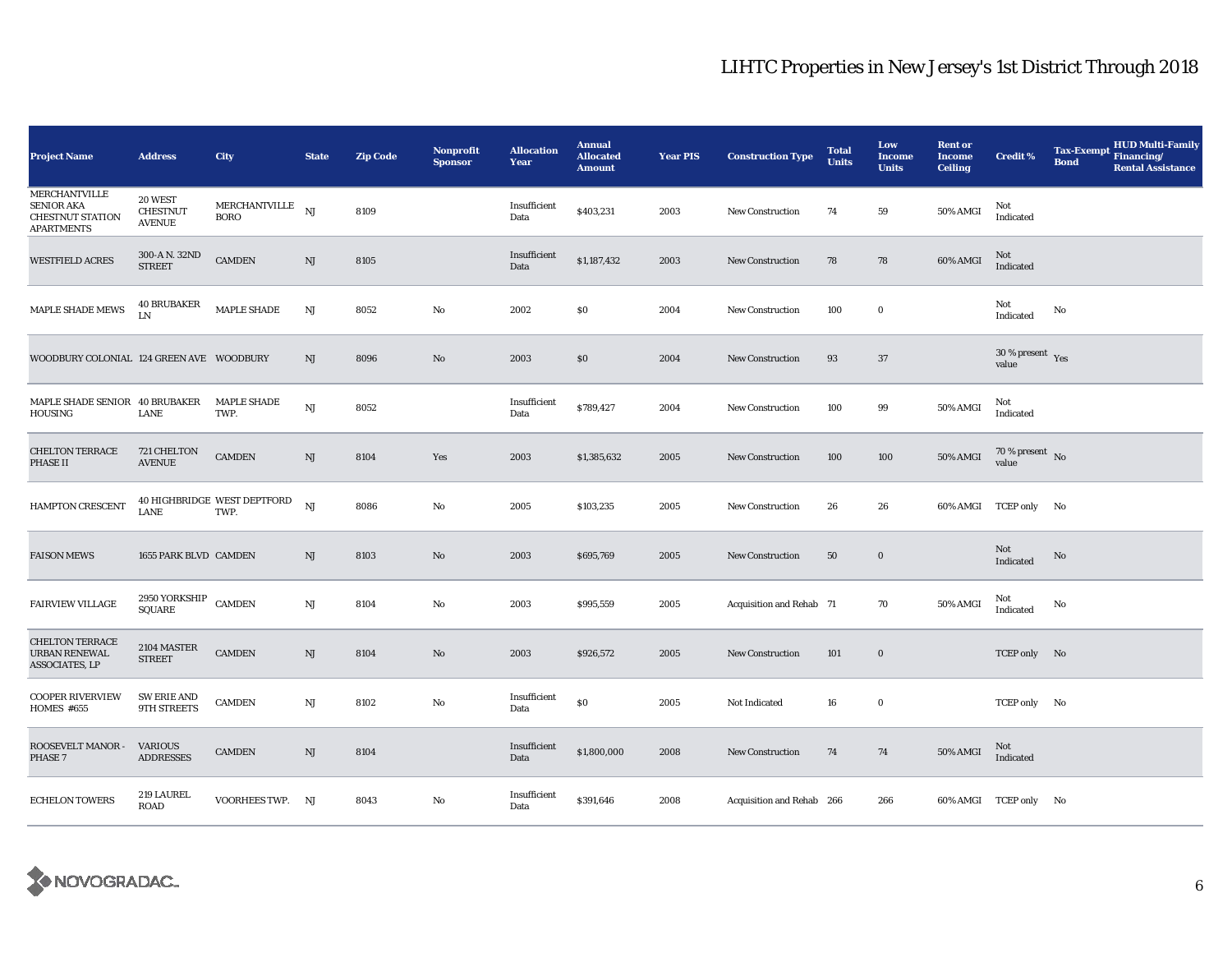| <b>Project Name</b>                                                                       | <b>Address</b>                              | City                                 | <b>State</b> | <b>Zip Code</b> | <b>Nonprofit</b><br><b>Sponsor</b> | <b>Allocation</b><br>Year | <b>Annual</b><br><b>Allocated</b><br><b>Amount</b> | <b>Year PIS</b> | <b>Construction Type</b>  | <b>Total</b><br><b>Units</b> | Low<br><b>Income</b><br><b>Units</b> | <b>Rent or</b><br><b>Income</b><br><b>Ceiling</b> | <b>Credit %</b>                        | <b>Tax-Exempt</b><br><b>Bond</b> | <b>HUD Multi-Family</b><br>Financing/<br><b>Rental Assistance</b> |
|-------------------------------------------------------------------------------------------|---------------------------------------------|--------------------------------------|--------------|-----------------|------------------------------------|---------------------------|----------------------------------------------------|-----------------|---------------------------|------------------------------|--------------------------------------|---------------------------------------------------|----------------------------------------|----------------------------------|-------------------------------------------------------------------|
| <b>MERCHANTVILLE</b><br><b>SENIOR AKA</b><br><b>CHESTNUT STATION</b><br><b>APARTMENTS</b> | 20 WEST<br><b>CHESTNUT</b><br><b>AVENUE</b> | ${\tt MERCHANTVILLE}$<br><b>BORO</b> | NJ           | 8109            |                                    | Insufficient<br>Data      | \$403,231                                          | 2003            | New Construction          | 74                           | 59                                   | 50% AMGI                                          | Not<br>Indicated                       |                                  |                                                                   |
| <b>WESTFIELD ACRES</b>                                                                    | 300-A N. 32ND<br><b>STREET</b>              | <b>CAMDEN</b>                        | NJ           | 8105            |                                    | Insufficient<br>Data      | \$1,187,432                                        | 2003            | <b>New Construction</b>   | 78                           | 78                                   | 60% AMGI                                          | Not<br>Indicated                       |                                  |                                                                   |
| MAPLE SHADE MEWS                                                                          | <b>40 BRUBAKER</b><br>LN                    | MAPLE SHADE                          | $_{\rm NJ}$  | 8052            | No                                 | 2002                      | \$0                                                | 2004            | New Construction          | 100                          | $\bf{0}$                             |                                                   | Not<br>Indicated                       | No                               |                                                                   |
| WOODBURY COLONIAL 124 GREEN AVE WOODBURY                                                  |                                             |                                      | NJ           | 8096            | $\mathbf{N}\mathbf{o}$             | 2003                      | \$0                                                | 2004            | New Construction          | 93                           | 37                                   |                                                   | $30$ % present $\,$ $\rm Yes$<br>value |                                  |                                                                   |
| MAPLE SHADE SENIOR 40 BRUBAKER<br>HOUSING                                                 | LANE                                        | <b>MAPLE SHADE</b><br>TWP.           | NJ           | 8052            |                                    | Insufficient<br>Data      | \$789,427                                          | 2004            | <b>New Construction</b>   | 100                          | 99                                   | 50% AMGI                                          | Not<br>Indicated                       |                                  |                                                                   |
| <b>CHELTON TERRACE</b><br><b>PHASE II</b>                                                 | 721 CHELTON<br><b>AVENUE</b>                | <b>CAMDEN</b>                        | NJ           | 8104            | Yes                                | 2003                      | \$1,385,632                                        | 2005            | <b>New Construction</b>   | 100                          | 100                                  | <b>50% AMGI</b>                                   | 70 % present $\hbox{~No}$<br>value     |                                  |                                                                   |
| HAMPTON CRESCENT                                                                          | LANE                                        | 40 HIGHBRIDGE WEST DEPTFORD<br>TWP.  | NJ           | 8086            | $\rm No$                           | 2005                      | \$103,235                                          | 2005            | New Construction          | 26                           | 26                                   |                                                   | 60% AMGI TCEP only No                  |                                  |                                                                   |
| <b>FAISON MEWS</b>                                                                        | 1655 PARK BLVD CAMDEN                       |                                      | NJ           | 8103            | $\mathbf{N}\mathbf{o}$             | 2003                      | \$695,769                                          | 2005            | <b>New Construction</b>   | 50                           | $\bf{0}$                             |                                                   | Not<br>Indicated                       | No                               |                                                                   |
| <b>FAIRVIEW VILLAGE</b>                                                                   | 2950 YORKSHIP CAMDEN<br><b>SQUARE</b>       |                                      | NJ           | 8104            | No                                 | 2003                      | \$995,559                                          | 2005            | Acquisition and Rehab 71  |                              | 70                                   | 50% AMGI                                          | Not<br>Indicated                       | No                               |                                                                   |
| <b>CHELTON TERRACE</b><br>URBAN RENEWAL<br><b>ASSOCIATES, LP</b>                          | 2104 MASTER<br><b>STREET</b>                | <b>CAMDEN</b>                        | NJ           | 8104            | $\mathbf{No}$                      | 2003                      | \$926,572                                          | 2005            | <b>New Construction</b>   | 101                          | $\bf{0}$                             |                                                   | TCEP only No                           |                                  |                                                                   |
| <b>COOPER RIVERVIEW</b><br><b>HOMES #655</b>                                              | <b>SW ERIE AND</b><br>9TH STREETS           | <b>CAMDEN</b>                        | $\rm{NJ}$    | 8102            | No                                 | Insufficient<br>Data      | $\$0$                                              | 2005            | Not Indicated             | 16                           | $\bf{0}$                             |                                                   | TCEP only No                           |                                  |                                                                   |
| ROOSEVELT MANOR -<br>PHASE 7                                                              | <b>VARIOUS</b><br><b>ADDRESSES</b>          | <b>CAMDEN</b>                        | NJ           | 8104            |                                    | Insufficient<br>Data      | \$1,800,000                                        | 2008            | <b>New Construction</b>   | 74                           | 74                                   | 50% AMGI                                          | Not<br>Indicated                       |                                  |                                                                   |
| <b>ECHELON TOWERS</b>                                                                     | 219 LAUREL<br><b>ROAD</b>                   | VOORHEES TWP. NJ                     |              | 8043            | No                                 | Insufficient<br>Data      | \$391,646                                          | 2008            | Acquisition and Rehab 266 |                              | 266                                  |                                                   | 60% AMGI TCEP only No                  |                                  |                                                                   |

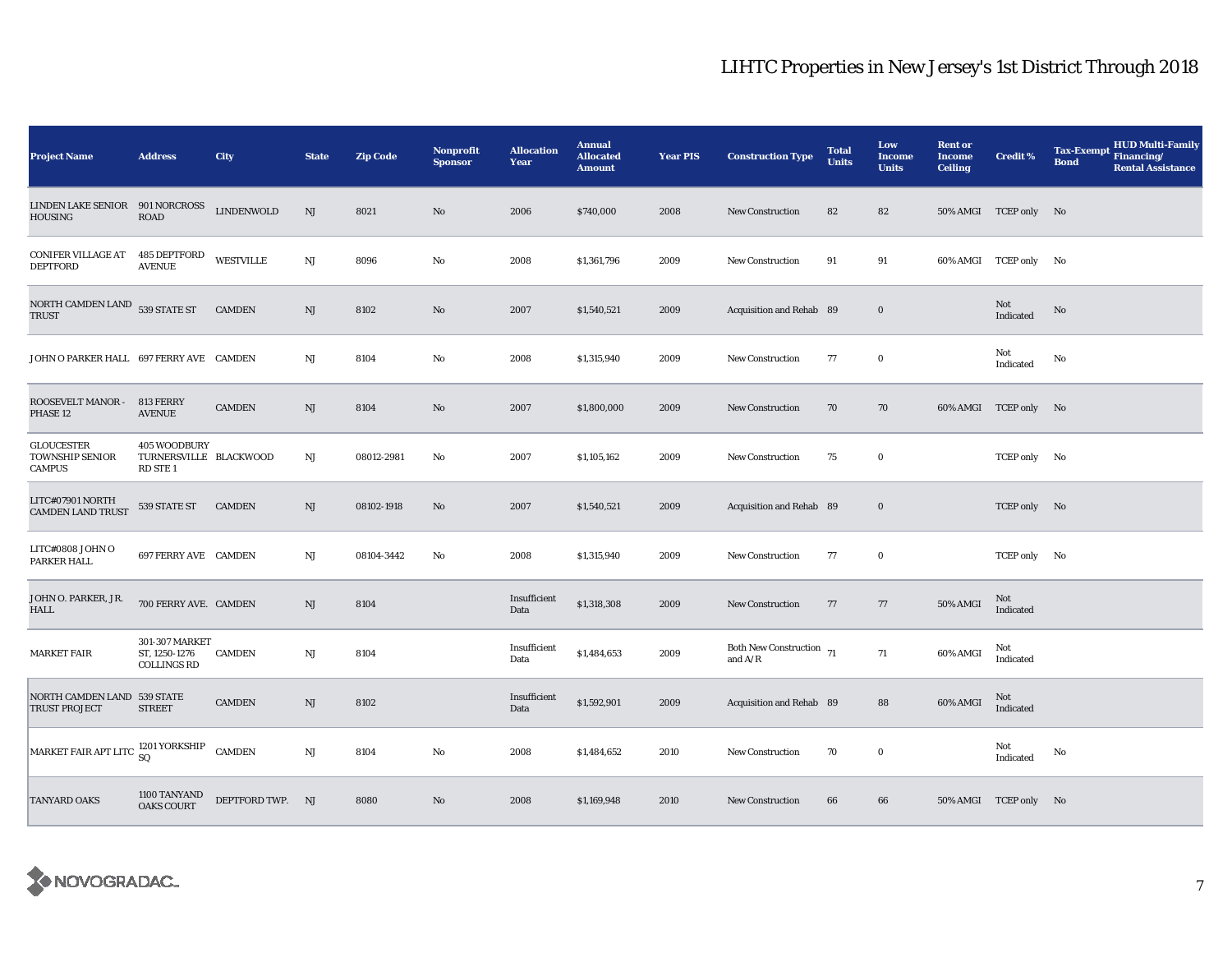| <b>Project Name</b>                                          | <b>Address</b>                                                | <b>City</b>       | <b>State</b> | <b>Zip Code</b> | Nonprofit<br><b>Sponsor</b> | <b>Allocation</b><br>Year | <b>Annual</b><br><b>Allocated</b><br><b>Amount</b> | <b>Year PIS</b> | <b>Construction Type</b>                        | <b>Total</b><br><b>Units</b> | Low<br><b>Income</b><br><b>Units</b> | <b>Rent or</b><br><b>Income</b><br><b>Ceiling</b> | <b>Credit %</b>       | <b>HUD Multi-Family</b><br><b>Tax-Exempt</b><br>Financing/<br><b>Bond</b><br><b>Rental Assistance</b> |
|--------------------------------------------------------------|---------------------------------------------------------------|-------------------|--------------|-----------------|-----------------------------|---------------------------|----------------------------------------------------|-----------------|-------------------------------------------------|------------------------------|--------------------------------------|---------------------------------------------------|-----------------------|-------------------------------------------------------------------------------------------------------|
| LINDEN LAKE SENIOR 901 NORCROSS<br><b>HOUSING</b>            | <b>ROAD</b>                                                   | <b>LINDENWOLD</b> | NJ           | 8021            | No                          | 2006                      | \$740,000                                          | 2008            | <b>New Construction</b>                         | 82                           | 82                                   |                                                   | 50% AMGI TCEP only No |                                                                                                       |
| <b>CONIFER VILLAGE AT</b><br><b>DEPTFORD</b>                 | 485 DEPTFORD<br><b>AVENUE</b>                                 | WESTVILLE         | NJ           | 8096            | No                          | 2008                      | \$1,361,796                                        | 2009            | <b>New Construction</b>                         | 91                           | 91                                   |                                                   | 60% AMGI TCEP only No |                                                                                                       |
| NORTH CAMDEN LAND 539 STATE ST<br><b>TRUST</b>               |                                                               | <b>CAMDEN</b>     | NJ           | 8102            | No                          | 2007                      | \$1,540,521                                        | 2009            | Acquisition and Rehab 89                        |                              | $\bf{0}$                             |                                                   | Not<br>Indicated      | $\mathbf{N}\mathbf{o}$                                                                                |
| JOHN O PARKER HALL 697 FERRY AVE CAMDEN                      |                                                               |                   | $_{\rm NJ}$  | 8104            | No                          | 2008                      | \$1,315,940                                        | 2009            | <b>New Construction</b>                         | 77                           | $\bf{0}$                             |                                                   | Not<br>Indicated      | No                                                                                                    |
| ROOSEVELT MANOR -<br>PHASE 12                                | 813 FERRY<br><b>AVENUE</b>                                    | <b>CAMDEN</b>     | NJ           | 8104            | No                          | 2007                      | \$1,800,000                                        | 2009            | <b>New Construction</b>                         | 70                           | 70                                   |                                                   | 60% AMGI TCEP only No |                                                                                                       |
| <b>GLOUCESTER</b><br><b>TOWNSHIP SENIOR</b><br><b>CAMPUS</b> | 405 WOODBURY<br>TURNERSVILLE BLACKWOOD<br>RD STE <sub>1</sub> |                   | NJ           | 08012-2981      | No                          | 2007                      | \$1,105,162                                        | 2009            | <b>New Construction</b>                         | 75                           | $\bf{0}$                             |                                                   | TCEP only No          |                                                                                                       |
| LITC#07901 NORTH<br><b>CAMDEN LAND TRUST</b>                 | 539 STATE ST                                                  | <b>CAMDEN</b>     | NJ           | 08102-1918      | No                          | 2007                      | \$1,540,521                                        | 2009            | Acquisition and Rehab 89                        |                              | $\bf{0}$                             |                                                   | TCEP only No          |                                                                                                       |
| LITC#0808 JOHN O<br>PARKER HALL                              | 697 FERRY AVE CAMDEN                                          |                   | NJ           | 08104-3442      | No                          | 2008                      | \$1,315,940                                        | 2009            | <b>New Construction</b>                         | 77                           | $\bf{0}$                             |                                                   | TCEP only No          |                                                                                                       |
| JOHN O. PARKER, JR.<br><b>HALL</b>                           | 700 FERRY AVE. CAMDEN                                         |                   | NJ           | 8104            |                             | Insufficient<br>Data      | \$1,318,308                                        | 2009            | <b>New Construction</b>                         | 77                           | 77                                   | 50% AMGI                                          | Not<br>Indicated      |                                                                                                       |
| MARKET FAIR                                                  | 301-307 MARKET<br>ST, 1250-1276<br><b>COLLINGS RD</b>         | <b>CAMDEN</b>     | NJ           | 8104            |                             | Insufficient<br>Data      | \$1,484,653                                        | 2009            | Both New Construction $\,$ 71 $\,$<br>and $A/R$ |                              | 71                                   | 60% AMGI                                          | Not<br>Indicated      |                                                                                                       |
| NORTH CAMDEN LAND 539 STATE<br>TRUST PROJECT                 | <b>STREET</b>                                                 | <b>CAMDEN</b>     | NJ           | 8102            |                             | Insufficient<br>Data      | \$1,592,901                                        | 2009            | Acquisition and Rehab 89                        |                              | 88                                   | 60% AMGI                                          | Not<br>Indicated      |                                                                                                       |
| MARKET FAIR APT LITC 1201 YORKSHIP                           |                                                               | <b>CAMDEN</b>     | $\rm{NJ}$    | 8104            | No                          | 2008                      | \$1,484,652                                        | 2010            | <b>New Construction</b>                         | 70                           | $\bf{0}$                             |                                                   | Not<br>Indicated      | No                                                                                                    |
| TANYARD OAKS                                                 | 1100 TANYAND<br><b>OAKS COURT</b>                             | DEPTFORD TWP. NJ  |              | 8080            | No                          | 2008                      | \$1,169,948                                        | 2010            | <b>New Construction</b>                         | 66                           | 66                                   |                                                   | 50% AMGI TCEP only No |                                                                                                       |

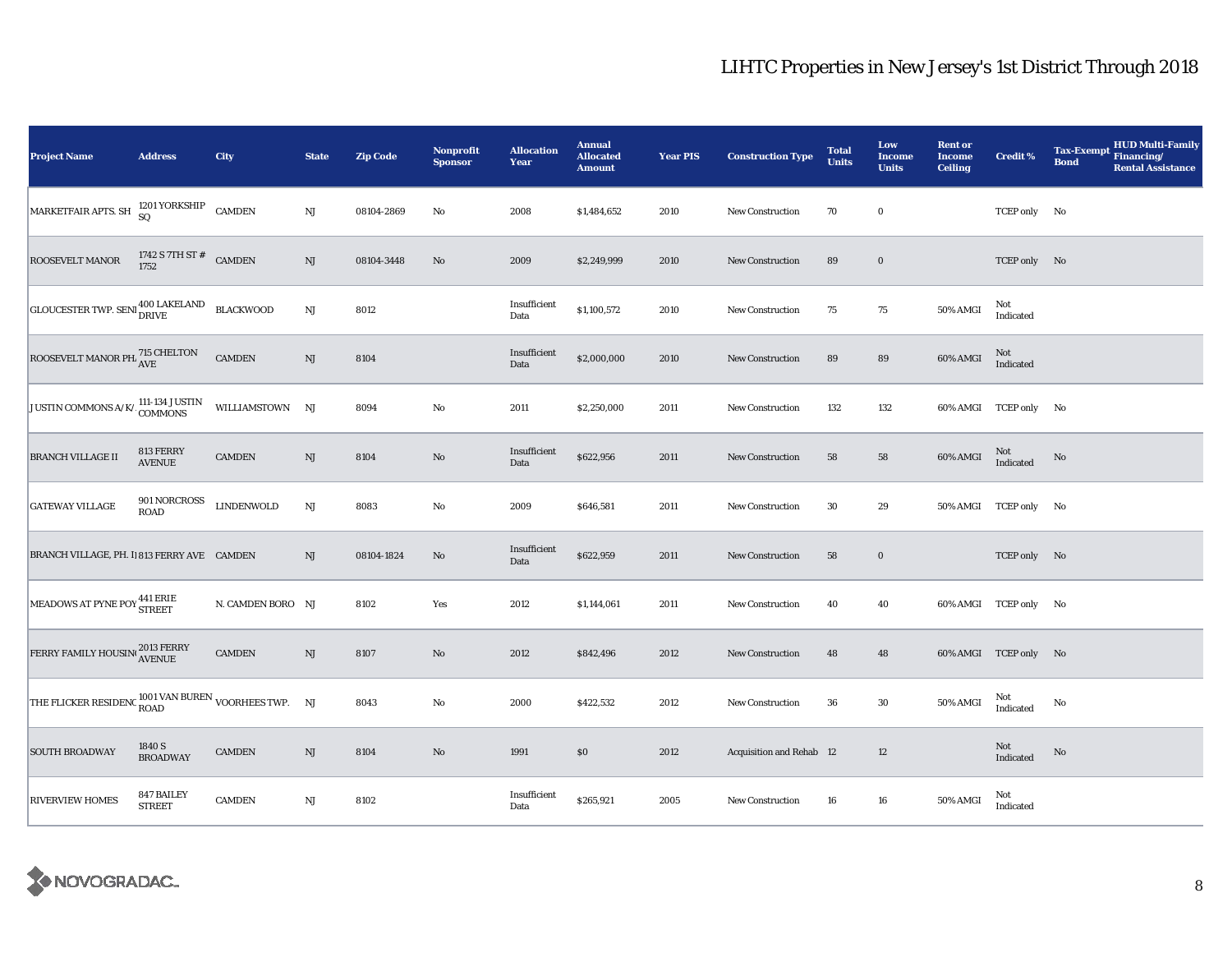| <b>Project Name</b>                                  | <b>Address</b>                       | City              | <b>State</b>           | <b>Zip Code</b> | Nonprofit<br><b>Sponsor</b> | <b>Allocation</b><br>Year | <b>Annual</b><br><b>Allocated</b><br><b>Amount</b> | <b>Year PIS</b> | <b>Construction Type</b> | <b>Total</b><br><b>Units</b> | Low<br><b>Income</b><br><b>Units</b> | <b>Rent or</b><br><b>Income</b><br><b>Ceiling</b> | <b>Credit %</b>       | <b>HUD Multi-Family</b><br><b>Tax-Exempt</b><br>Financing/<br><b>Bond</b><br><b>Rental Assistance</b> |
|------------------------------------------------------|--------------------------------------|-------------------|------------------------|-----------------|-----------------------------|---------------------------|----------------------------------------------------|-----------------|--------------------------|------------------------------|--------------------------------------|---------------------------------------------------|-----------------------|-------------------------------------------------------------------------------------------------------|
| MARKETFAIR APTS. SH                                  | 1201 YORKSHIP CAMDEN SQ              |                   | NJ                     | 08104-2869      | No                          | 2008                      | \$1,484,652                                        | 2010            | <b>New Construction</b>  | 70                           | $\bf{0}$                             |                                                   | TCEP only No          |                                                                                                       |
| ROOSEVELT MANOR                                      | 1742 S 7TH ST $^{\#}$ CAMDEN<br>1752 |                   | NJ                     | 08104-3448      | No                          | 2009                      | \$2,249,999                                        | 2010            | <b>New Construction</b>  | 89                           | $\mathbf 0$                          |                                                   | TCEP only No          |                                                                                                       |
| GLOUCESTER TWP. SENI 400 LAKELAND                    |                                      | <b>BLACKWOOD</b>  | NJ                     | 8012            |                             | Insufficient<br>Data      | \$1,100,572                                        | 2010            | New Construction         | 75                           | 75                                   | 50% AMGI                                          | Not<br>Indicated      |                                                                                                       |
| ROOSEVELT MANOR PH. 715 CHELTON                      |                                      | <b>CAMDEN</b>     | NJ                     | 8104            |                             | Insufficient<br>Data      | \$2,000,000                                        | 2010            | New Construction         | 89                           | 89                                   | 60% AMGI                                          | Not<br>Indicated      |                                                                                                       |
| JUSTIN COMMONS A/K/ 111-134 JUSTIN                   |                                      | WILLIAMSTOWN NJ   |                        | 8094            | No                          | 2011                      | \$2,250,000                                        | 2011            | <b>New Construction</b>  | 132                          | 132                                  |                                                   | 60% AMGI TCEP only No |                                                                                                       |
| <b>BRANCH VILLAGE II</b>                             | 813 FERRY<br><b>AVENUE</b>           | <b>CAMDEN</b>     | NJ                     | 8104            | $\rm No$                    | Insufficient<br>Data      | \$622,956                                          | 2011            | <b>New Construction</b>  | 58                           | ${\bf 58}$                           | 60% AMGI                                          | Not<br>Indicated      | No                                                                                                    |
| <b>GATEWAY VILLAGE</b>                               | 901 NORCROSS<br>ROAD                 | <b>LINDENWOLD</b> | NJ                     | 8083            | No                          | 2009                      | \$646,581                                          | 2011            | <b>New Construction</b>  | 30                           | 29                                   |                                                   | 50% AMGI TCEP only No |                                                                                                       |
| BRANCH VILLAGE, PH. II 813 FERRY AVE CAMDEN          |                                      |                   | NJ                     | 08104-1824      | $\rm No$                    | Insufficient<br>Data      | \$622,959                                          | 2011            | <b>New Construction</b>  | 58                           | $\bf{0}$                             |                                                   | TCEP only No          |                                                                                                       |
| MEADOWS AT PYNE POY <sup>441 ERIE</sup>              |                                      | N. CAMDEN BORO NJ |                        | 8102            | Yes                         | 2012                      | \$1,144,061                                        | 2011            | <b>New Construction</b>  | 40                           | 40                                   |                                                   | 60% AMGI TCEP only No |                                                                                                       |
| FERRY FAMILY HOUSIN <sup>1</sup> 2013 FERRY          |                                      | <b>CAMDEN</b>     | NJ                     | 8107            | $\rm No$                    | 2012                      | \$842,496                                          | 2012            | <b>New Construction</b>  | 48                           | 48                                   |                                                   | 60% AMGI TCEP only No |                                                                                                       |
| THE FLICKER RESIDENC ROAD VAN BUREN VOORHEES TWP. NJ |                                      |                   |                        | 8043            | No                          | 2000                      | \$422,532                                          | 2012            | <b>New Construction</b>  | 36                           | 30                                   | 50% AMGI                                          | Not<br>Indicated      | No                                                                                                    |
| <b>SOUTH BROADWAY</b>                                | 1840 S<br><b>BROADWAY</b>            | <b>CAMDEN</b>     | NJ                     | 8104            | No                          | 1991                      | \$0                                                | 2012            | Acquisition and Rehab 12 |                              | 12                                   |                                                   | Not<br>Indicated      | $\mathbf{No}$                                                                                         |
| <b>RIVERVIEW HOMES</b>                               | 847 BAILEY<br><b>STREET</b>          | <b>CAMDEN</b>     | $\mathbf{N}\mathbf{J}$ | 8102            |                             | Insufficient<br>Data      | \$265,921                                          | 2005            | New Construction         | 16                           | ${\bf 16}$                           | 50% AMGI                                          | Not<br>Indicated      |                                                                                                       |

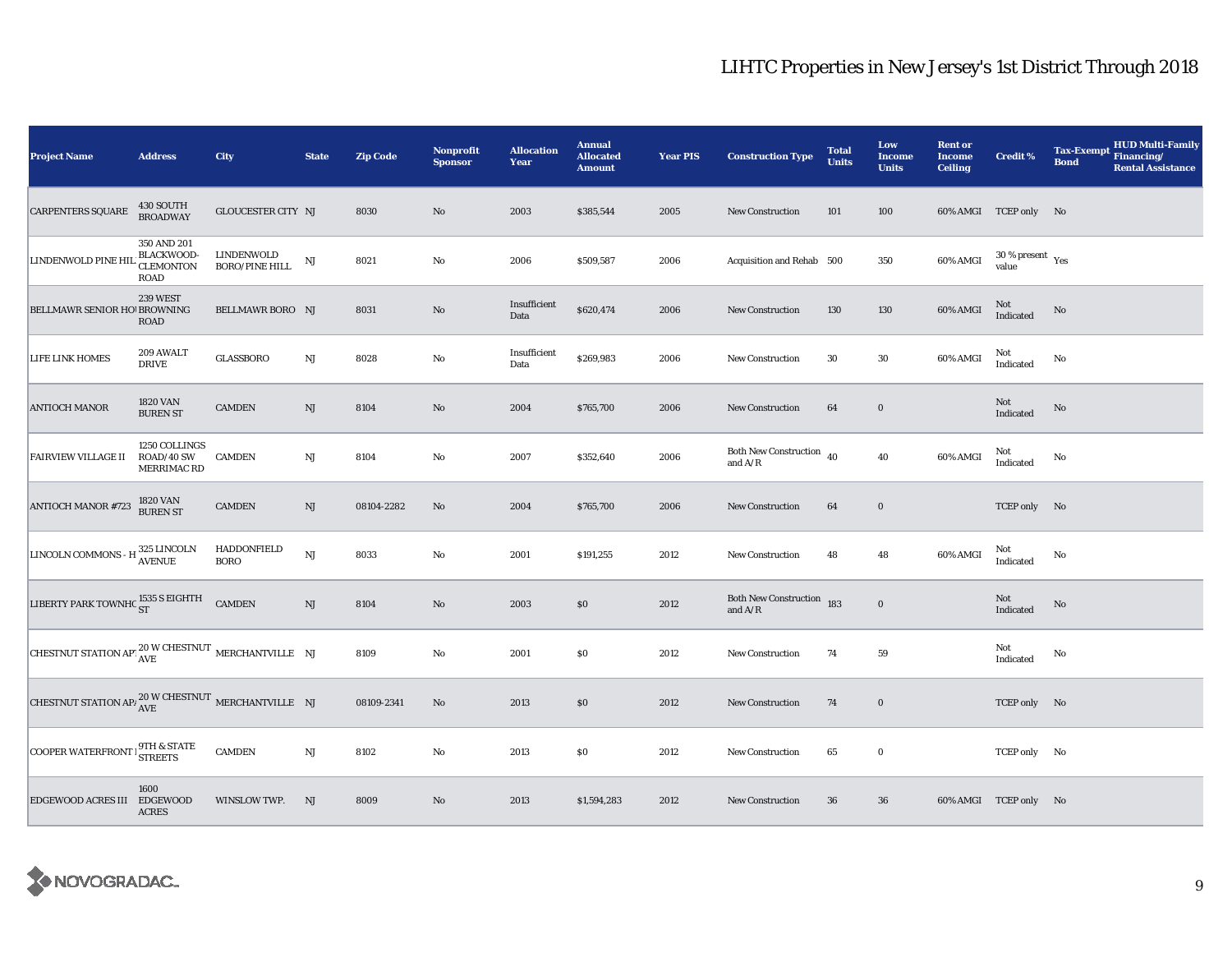| <b>Project Name</b>                                                                   | <b>Address</b>                                                      | City                                | <b>State</b>           | <b>Zip Code</b> | <b>Nonprofit</b><br><b>Sponsor</b> | <b>Allocation</b><br>Year | <b>Annual</b><br><b>Allocated</b><br><b>Amount</b> | <b>Year PIS</b> | <b>Construction Type</b>                                                            | <b>Total</b><br><b>Units</b> | Low<br><b>Income</b><br><b>Units</b> | <b>Rent or</b><br><b>Income</b><br><b>Ceiling</b> | Credit %                        | <b>HUD Multi-Family</b><br><b>Tax-Exempt</b><br>Financing/<br><b>Bond</b><br><b>Rental Assistance</b> |
|---------------------------------------------------------------------------------------|---------------------------------------------------------------------|-------------------------------------|------------------------|-----------------|------------------------------------|---------------------------|----------------------------------------------------|-----------------|-------------------------------------------------------------------------------------|------------------------------|--------------------------------------|---------------------------------------------------|---------------------------------|-------------------------------------------------------------------------------------------------------|
| <b>CARPENTERS SQUARE</b>                                                              | 430 SOUTH<br><b>BROADWAY</b>                                        | <b>GLOUCESTER CITY NJ</b>           |                        | 8030            | $\mathbf{N}\mathbf{o}$             | 2003                      | \$385,544                                          | 2005            | New Construction                                                                    | 101                          | 100                                  |                                                   | 60% AMGI TCEP only No           |                                                                                                       |
| LINDENWOLD PINE HI                                                                    | 350 AND 201<br><b>BLACKWOOD-</b><br><b>CLEMONTON</b><br><b>ROAD</b> | LINDENWOLD<br><b>BORO/PINE HILL</b> | NJ                     | 8021            | No                                 | 2006                      | \$509,587                                          | 2006            | Acquisition and Rehab 500                                                           |                              | 350                                  | 60% AMGI                                          | $30\,\%$ present $\,$ Yes value |                                                                                                       |
| BELLMAWR SENIOR HO! BROWNING                                                          | <b>239 WEST</b><br>ROAD                                             | BELLMAWR BORO NJ                    |                        | 8031            | $\rm No$                           | Insufficient<br>Data      | \$620,474                                          | 2006            | <b>New Construction</b>                                                             | 130                          | 130                                  | 60% AMGI                                          | Not<br>Indicated                | No                                                                                                    |
| LIFE LINK HOMES                                                                       | 209 AWALT<br><b>DRIVE</b>                                           | <b>GLASSBORO</b>                    | NJ                     | 8028            | No                                 | Insufficient<br>Data      | \$269,983                                          | 2006            | New Construction                                                                    | 30                           | $30\,$                               | 60% AMGI                                          | Not<br>Indicated                | No                                                                                                    |
| <b>ANTIOCH MANOR</b>                                                                  | <b>1820 VAN</b><br><b>BUREN ST</b>                                  | <b>CAMDEN</b>                       | NJ                     | 8104            | No                                 | 2004                      | \$765,700                                          | 2006            | <b>New Construction</b>                                                             | 64                           | $\bf{0}$                             |                                                   | Not<br>Indicated                | No                                                                                                    |
| <b>FAIRVIEW VILLAGE II</b>                                                            | 1250 COLLINGS<br>ROAD/40 SW<br>MERRIMAC RD                          | <b>CAMDEN</b>                       | NJ                     | 8104            | No                                 | 2007                      | \$352,640                                          | 2006            | Both New Construction $40$<br>and $\ensuremath{\mathrm{A}}/\ensuremath{\mathrm{R}}$ |                              | 40                                   | 60% AMGI                                          | Not<br>Indicated                | No                                                                                                    |
| $\,$ ANTIOCH MANOR #723                                                               | 1820 VAN<br>BUREN ST                                                | <b>CAMDEN</b>                       | $\rm{NJ}$              | 08104-2282      | No                                 | 2004                      | \$765,700                                          | 2006            | New Construction                                                                    | 64                           | $\boldsymbol{0}$                     |                                                   | TCEP only No                    |                                                                                                       |
| LINCOLN COMMONS - H $_{\rm AVENUE}^{325}$ LINCOLN                                     |                                                                     | HADDONFIELD<br><b>BORO</b>          | NJ                     | 8033            | $\rm No$                           | 2001                      | \$191,255                                          | 2012            | <b>New Construction</b>                                                             | 48                           | 48                                   | 60% AMGI                                          | Not<br>Indicated                | No                                                                                                    |
| LIBERTY PARK TOWNHC ST                                                                |                                                                     | <b>CAMDEN</b>                       | $\mathbf{N}\mathbf{J}$ | 8104            | $\mathbf{N}\mathbf{o}$             | 2003                      | $\$0$                                              | 2012            | Both New Construction 183<br>and $\ensuremath{\mathrm{A}}/\ensuremath{\mathrm{R}}$  |                              | $\mathbf 0$                          |                                                   | Not<br>Indicated                | $\mathbf{No}$                                                                                         |
| CHESTNUT STATION APT $_{\text{AVE}}^{20 \text{ W } \text{CHESTNUT}}$ MERCHANTVILLE NJ |                                                                     |                                     |                        | 8109            | No                                 | 2001                      | \$0                                                | 2012            | <b>New Construction</b>                                                             | 74                           | ${\bf 59}$                           |                                                   | Not<br>Indicated                | No                                                                                                    |
| CHESTNUT STATION API $_{\text{AVE}}^{20 \text{ W } \text{CHESTNUT}}$ MERCHANTVILLE NJ |                                                                     |                                     |                        | 08109-2341      | $\mathbf{N}\mathbf{o}$             | 2013                      | \$0                                                | 2012            | <b>New Construction</b>                                                             | 74                           | $\bf{0}$                             |                                                   | TCEP only No                    |                                                                                                       |
| COOPER WATERFRONT   9TH & STATE                                                       |                                                                     | <b>CAMDEN</b>                       | $\rm{NJ}$              | 8102            | No                                 | 2013                      | \$0                                                | 2012            | <b>New Construction</b>                                                             | 65                           | $\bf{0}$                             |                                                   | TCEP only No                    |                                                                                                       |
| EDGEWOOD ACRES III EDGEWOOD                                                           | 1600<br><b>ACRES</b>                                                | WINSLOW TWP.                        | NJ                     | 8009            | No                                 | 2013                      | \$1,594,283                                        | 2012            | New Construction                                                                    | 36                           | 36                                   |                                                   | 60% AMGI TCEP only No           |                                                                                                       |

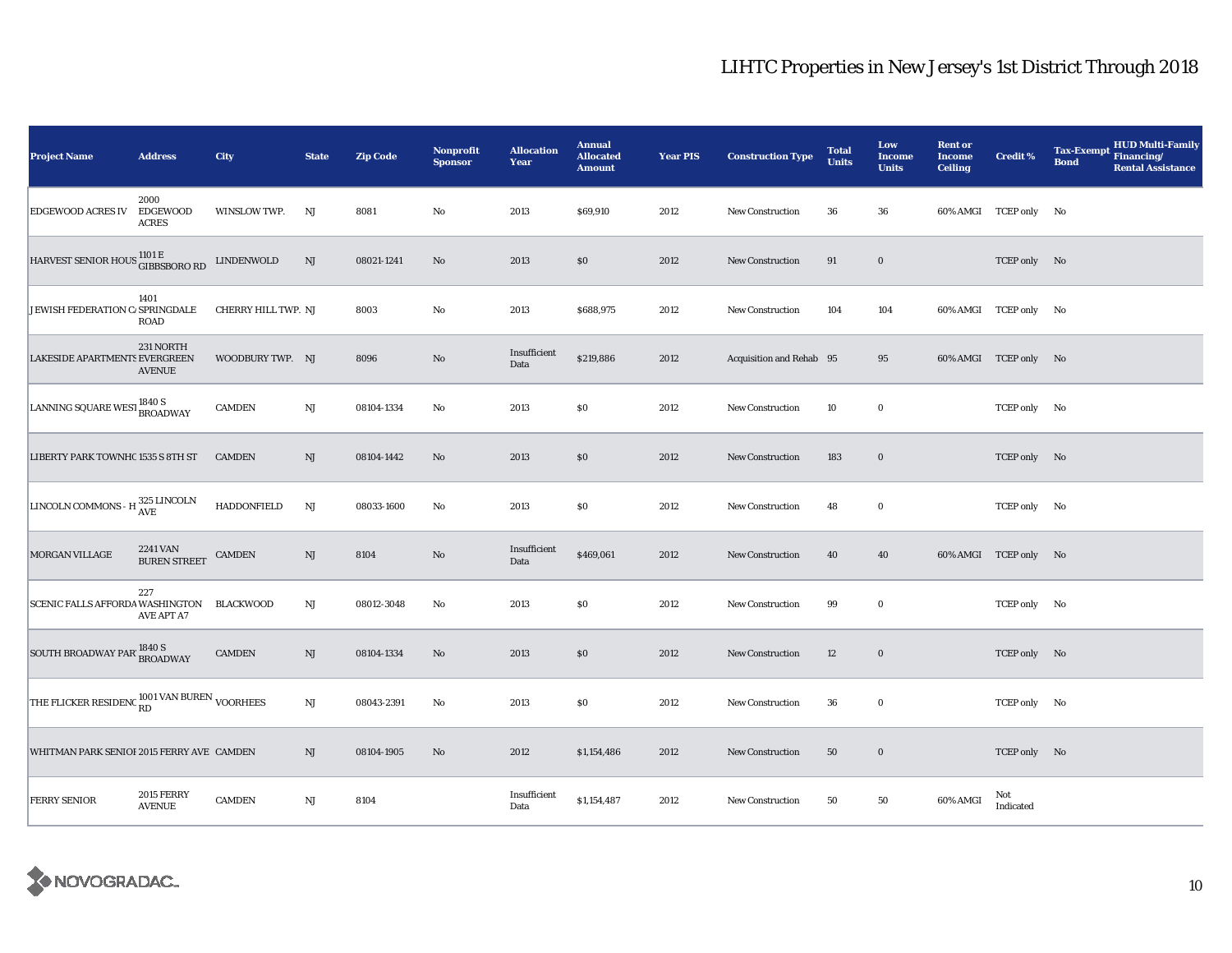| <b>Project Name</b>                                  | <b>Address</b>                          | City                | <b>State</b>           | <b>Zip Code</b> | Nonprofit<br><b>Sponsor</b> | <b>Allocation</b><br>Year | <b>Annual</b><br><b>Allocated</b><br><b>Amount</b> | <b>Year PIS</b> | <b>Construction Type</b> | <b>Total</b><br><b>Units</b> | Low<br><b>Income</b><br><b>Units</b> | <b>Rent or</b><br><b>Income</b><br><b>Ceiling</b> | <b>Credit %</b>       | <b>HUD Multi-Family</b><br><b>Tax-Exempt</b><br>Financing/<br><b>Bond</b><br><b>Rental Assistance</b> |
|------------------------------------------------------|-----------------------------------------|---------------------|------------------------|-----------------|-----------------------------|---------------------------|----------------------------------------------------|-----------------|--------------------------|------------------------------|--------------------------------------|---------------------------------------------------|-----------------------|-------------------------------------------------------------------------------------------------------|
| <b>EDGEWOOD ACRES IV</b>                             | 2000<br><b>EDGEWOOD</b><br><b>ACRES</b> | WINSLOW TWP.        | NJ                     | 8081            | No                          | 2013                      | \$69,910                                           | 2012            | New Construction         | 36                           | 36                                   |                                                   | 60% AMGI TCEP only No |                                                                                                       |
| HARVEST SENIOR HOUS 1101 E<br>GIBBSBORO RD           |                                         | LINDENWOLD          | NJ                     | 08021-1241      | No                          | 2013                      | \$0\$                                              | 2012            | <b>New Construction</b>  | 91                           | $\mathbf 0$                          |                                                   | TCEP only No          |                                                                                                       |
| JEWISH FEDERATION C/ SPRINGDALE                      | 1401<br>ROAD                            | CHERRY HILL TWP. NJ |                        | 8003            | No                          | 2013                      | \$688,975                                          | 2012            | New Construction         | 104                          | 104                                  |                                                   | 60% AMGI TCEP only No |                                                                                                       |
| <b>LAKESIDE APARTMENTS EVERGREEN</b>                 | 231 NORTH<br><b>AVENUE</b>              | WOODBURY TWP. NJ    |                        | 8096            | No                          | Insufficient<br>Data      | \$219,886                                          | 2012            | Acquisition and Rehab 95 |                              | 95                                   |                                                   | 60% AMGI TCEP only No |                                                                                                       |
| LANNING SQUARE WEST 1840 S<br>BROADWAY               |                                         | <b>CAMDEN</b>       | NJ                     | 08104-1334      | No                          | 2013                      | $\$0$                                              | 2012            | New Construction         | 10                           | $\mathbf 0$                          |                                                   | TCEP only No          |                                                                                                       |
| LIBERTY PARK TOWNHC 1535 S 8TH ST                    |                                         | <b>CAMDEN</b>       | NJ                     | 08104-1442      | No                          | 2013                      | \$0                                                | 2012            | <b>New Construction</b>  | 183                          | $\bf{0}$                             |                                                   | TCEP only No          |                                                                                                       |
| LINCOLN COMMONS - H $_{\rm AVE}^{325 \rm \ LINCOLN}$ |                                         | HADDONFIELD         | $\mathbf{N}\mathbf{J}$ | 08033-1600      | No                          | 2013                      | $\$0$                                              | 2012            | New Construction         | 48                           | $\mathbf 0$                          |                                                   | TCEP only No          |                                                                                                       |
| <b>MORGAN VILLAGE</b>                                | 2241 VAN<br><b>BUREN STREET</b>         | <b>CAMDEN</b>       | $\rm{NJ}$              | 8104            | No                          | Insufficient<br>Data      | \$469,061                                          | 2012            | <b>New Construction</b>  | 40                           | 40                                   |                                                   | 60% AMGI TCEP only No |                                                                                                       |
| SCENIC FALLS AFFORDA WASHINGTON BLACKWOOD            | 227<br><b>AVE APT A7</b>                |                     | NJ                     | 08012-3048      | No                          | 2013                      | $\$0$                                              | 2012            | <b>New Construction</b>  | 99                           | $\bf{0}$                             |                                                   | TCEP only No          |                                                                                                       |
| SOUTH BROADWAY PAR <sup>1840 S</sup> BROADWAY        |                                         | <b>CAMDEN</b>       | NJ                     | 08104-1334      | No                          | 2013                      | \$0                                                | 2012            | New Construction         | 12                           | $\bf{0}$                             |                                                   | TCEP only No          |                                                                                                       |
| THE FLICKER RESIDENC RD VAN BUREN VOORHEES           |                                         |                     | NJ                     | 08043-2391      | No                          | 2013                      | \$0                                                | 2012            | <b>New Construction</b>  | 36                           | $\bf{0}$                             |                                                   | TCEP only No          |                                                                                                       |
| WHITMAN PARK SENIOI 2015 FERRY AVE CAMDEN            |                                         |                     | NJ                     | 08104-1905      | No                          | 2012                      | \$1,154,486                                        | 2012            | <b>New Construction</b>  | 50                           | $\bf{0}$                             |                                                   | TCEP only No          |                                                                                                       |
| <b>FERRY SENIOR</b>                                  | <b>2015 FERRY</b><br><b>AVENUE</b>      | <b>CAMDEN</b>       | $\rm{NJ}$              | 8104            |                             | Insufficient<br>Data      | \$1,154,487                                        | 2012            | New Construction         | 50                           | 50                                   | 60% AMGI                                          | Not<br>Indicated      |                                                                                                       |

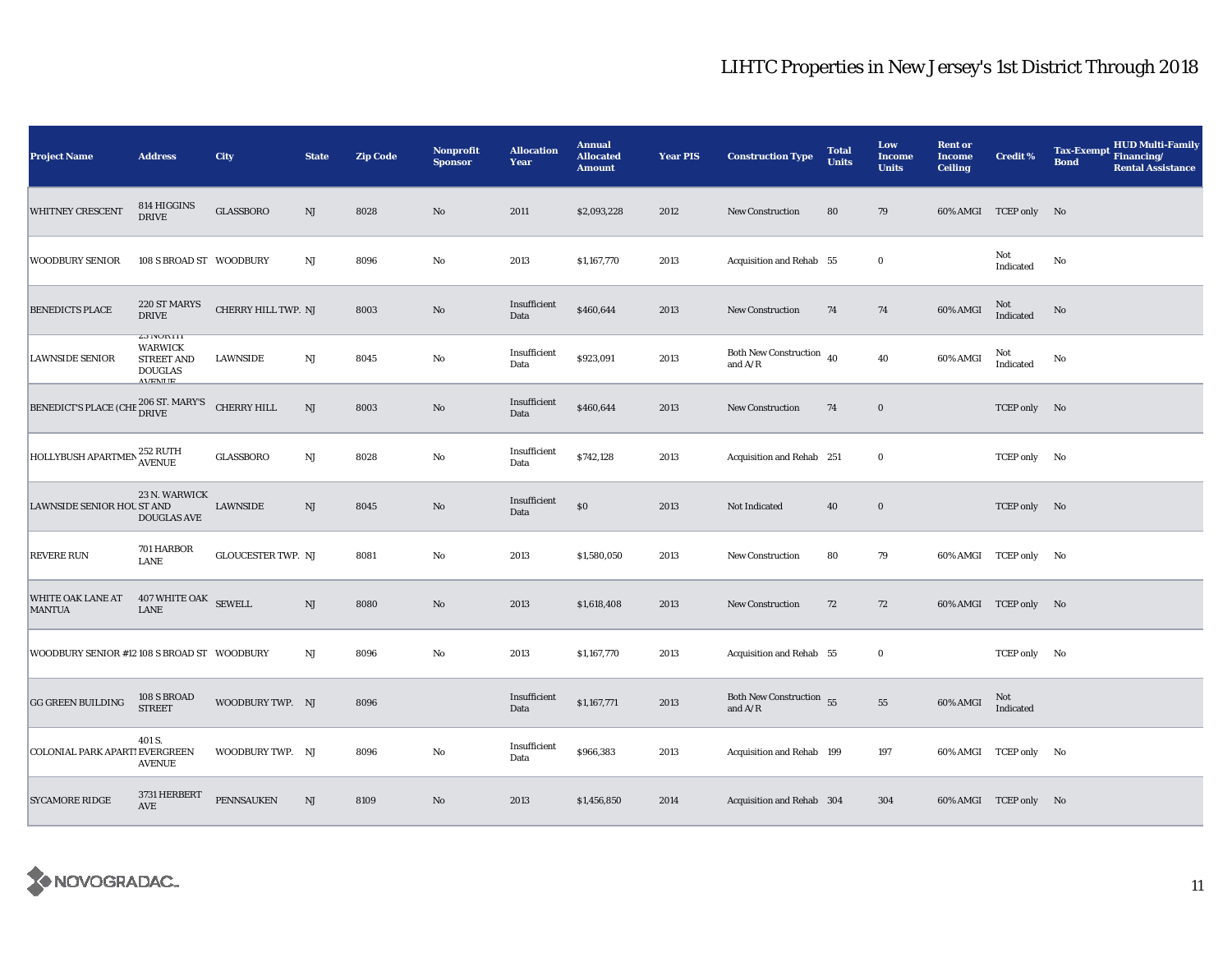| <b>Project Name</b>                         | <b>Address</b>                                                                             | City                      | <b>State</b>           | <b>Zip Code</b> | Nonprofit<br><b>Sponsor</b> | <b>Allocation</b><br>Year | <b>Annual</b><br><b>Allocated</b><br><b>Amount</b> | <b>Year PIS</b> | <b>Construction Type</b>                                                               | <b>Total</b><br><b>Units</b> | Low<br>Income<br><b>Units</b> | <b>Rent or</b><br><b>Income</b><br><b>Ceiling</b> | Credit %              | <b>HUD Multi-Family</b><br><b>Tax-Exempt</b><br>Financing/<br><b>Bond</b><br><b>Rental Assistance</b> |
|---------------------------------------------|--------------------------------------------------------------------------------------------|---------------------------|------------------------|-----------------|-----------------------------|---------------------------|----------------------------------------------------|-----------------|----------------------------------------------------------------------------------------|------------------------------|-------------------------------|---------------------------------------------------|-----------------------|-------------------------------------------------------------------------------------------------------|
| WHITNEY CRESCENT                            | 814 HIGGINS<br><b>DRIVE</b>                                                                | <b>GLASSBORO</b>          | NJ                     | 8028            | No                          | 2011                      | \$2,093,228                                        | 2012            | New Construction                                                                       | 80                           | 79                            |                                                   | 60% AMGI TCEP only No |                                                                                                       |
| <b>WOODBURY SENIOR</b>                      | 108 S BROAD ST WOODBURY                                                                    |                           | $_{\rm NJ}$            | 8096            | No                          | 2013                      | \$1,167,770                                        | 2013            | Acquisition and Rehab 55                                                               |                              | $\bf{0}$                      |                                                   | Not<br>Indicated      | No                                                                                                    |
| <b>BENEDICTS PLACE</b>                      | 220 ST MARYS<br><b>DRIVE</b>                                                               | CHERRY HILL TWP. NJ       |                        | 8003            | $\rm No$                    | Insufficient<br>Data      | \$460,644                                          | 2013            | <b>New Construction</b>                                                                | 74                           | 74                            | 60% AMGI                                          | $\rm Not$ Indicated   | No                                                                                                    |
| <b>LAWNSIDE SENIOR</b>                      | <b>L3 NUKIH</b><br><b>WARWICK</b><br><b>STREET AND</b><br><b>DOUGLAS</b><br><b>AVENITE</b> | <b>LAWNSIDE</b>           | NJ                     | 8045            | No                          | Insufficient<br>Data      | \$923,091                                          | 2013            | Both New Construction $\,$ 40<br>and $\ensuremath{\mathrm{A}}/\ensuremath{\mathrm{R}}$ |                              | 40                            | 60% AMGI                                          | Not<br>Indicated      | No                                                                                                    |
| <b>BENEDICT'S PLACE (CHE</b>                | 206 ST. MARY'S<br>DRIVE                                                                    | <b>CHERRY HILL</b>        | NJ                     | 8003            | No                          | Insufficient<br>Data      | \$460,644                                          | 2013            | <b>New Construction</b>                                                                | 74                           | $\bf{0}$                      |                                                   | TCEP only No          |                                                                                                       |
| HOLLYBUSH APARTMEN 252 RUTH                 |                                                                                            | <b>GLASSBORO</b>          | NJ                     | 8028            | $\rm No$                    | Insufficient<br>Data      | \$742,128                                          | 2013            | Acquisition and Rehab 251                                                              |                              | $\bf{0}$                      |                                                   | TCEP only No          |                                                                                                       |
| LAWNSIDE SENIOR HOU ST AND                  | 23 N. WARWICK<br><b>DOUGLAS AVE</b>                                                        | <b>LAWNSIDE</b>           | NJ                     | 8045            | No                          | Insufficient<br>Data      | $\$0$                                              | 2013            | Not Indicated                                                                          | 40                           | $\mathbf 0$                   |                                                   | TCEP only No          |                                                                                                       |
| <b>REVERE RUN</b>                           | 701 HARBOR<br><b>LANE</b>                                                                  | <b>GLOUCESTER TWP. NJ</b> |                        | 8081            | No                          | 2013                      | \$1,580,050                                        | 2013            | New Construction                                                                       | 80                           | 79                            |                                                   | 60% AMGI TCEP only No |                                                                                                       |
| WHITE OAK LANE AT<br><b>MANTUA</b>          | 407 WHITE OAK SEWELL<br><b>LANE</b>                                                        |                           | $\mathbf{N}\mathbf{J}$ | 8080            | $\rm No$                    | 2013                      | \$1,618,408                                        | 2013            | New Construction                                                                       | 72                           | 72                            |                                                   | 60% AMGI TCEP only No |                                                                                                       |
| WOODBURY SENIOR #12 108 S BROAD ST WOODBURY |                                                                                            |                           | NJ                     | 8096            | No                          | 2013                      | \$1,167,770                                        | 2013            | Acquisition and Rehab 55                                                               |                              | $\bf{0}$                      |                                                   | TCEP only No          |                                                                                                       |
| <b>GG GREEN BUILDING</b>                    | 108 S BROAD<br><b>STREET</b>                                                               | WOODBURY TWP. NJ          |                        | 8096            |                             | Insufficient<br>Data      | \$1,167,771                                        | 2013            | Both New Construction 55<br>and $\ensuremath{\mathrm{A}}/\ensuremath{\mathrm{R}}$      |                              | 55                            | 60% AMGI                                          | Not<br>Indicated      |                                                                                                       |
| COLONIAL PARK APARTI EVERGREEN              | 401 S.<br><b>AVENUE</b>                                                                    | WOODBURY TWP. NJ          |                        | 8096            | No                          | Insufficient<br>Data      | \$966,383                                          | 2013            | Acquisition and Rehab 199                                                              |                              | 197                           |                                                   | 60% AMGI TCEP only No |                                                                                                       |
| <b>SYCAMORE RIDGE</b>                       | 3731 HERBERT<br>$\operatorname{AVE}$                                                       | PENNSAUKEN                | NJ                     | 8109            | No                          | 2013                      | \$1,456,850                                        | 2014            | Acquisition and Rehab 304                                                              |                              | 304                           |                                                   | 60% AMGI TCEP only No |                                                                                                       |

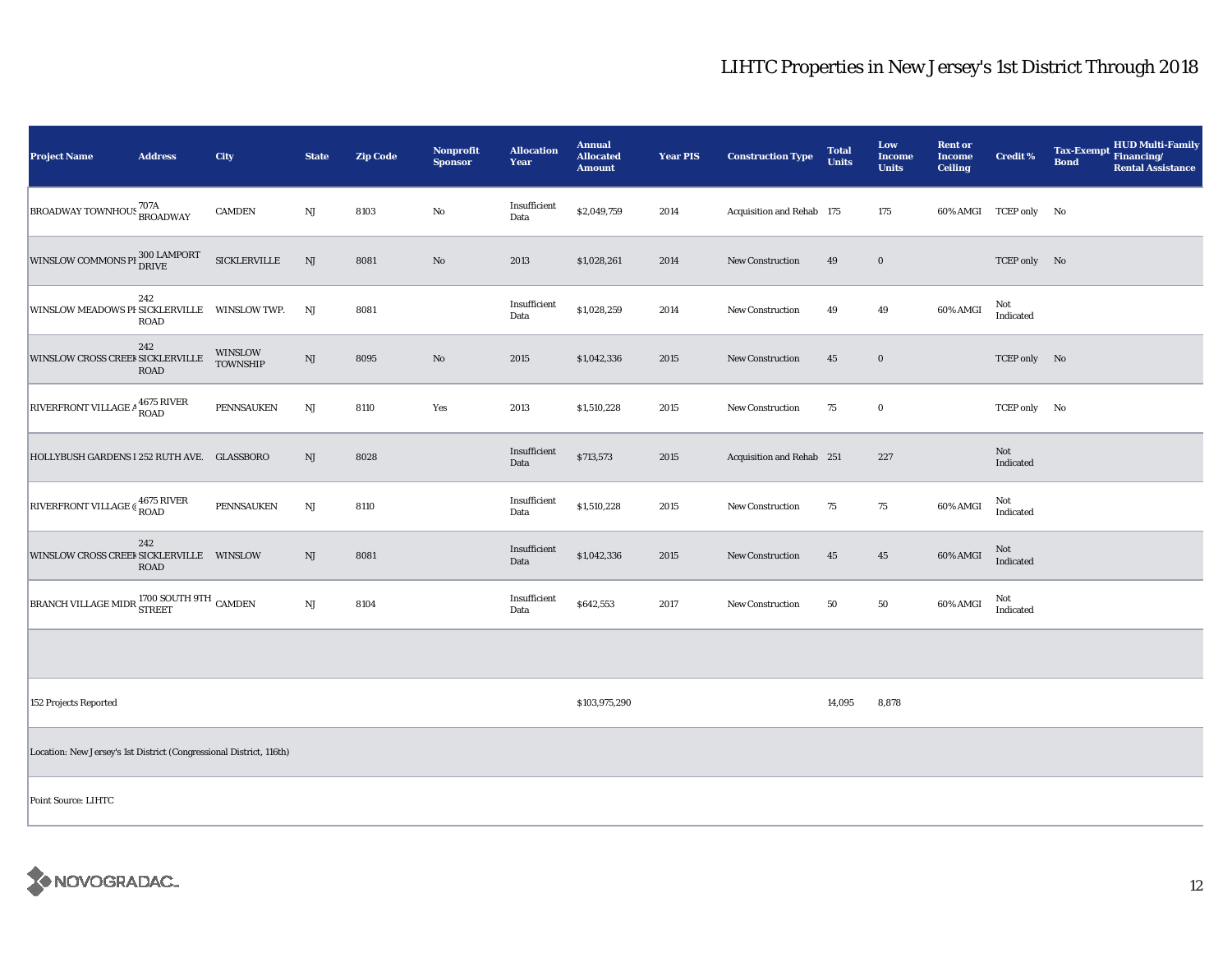| <b>Project Name</b>                                                         | <b>Address</b>     | <b>City</b>                       | <b>State</b>           | <b>Zip Code</b> | <b>Nonprofit</b><br><b>Sponsor</b> | <b>Allocation</b><br>Year | <b>Annual</b><br><b>Allocated</b><br><b>Amount</b> | <b>Year PIS</b> | <b>Construction Type</b>  | <b>Total</b><br><b>Units</b> | Low<br><b>Income</b><br><b>Units</b> | <b>Rent or</b><br><b>Income</b><br><b>Ceiling</b> | <b>Credit %</b>       | <b>HUD Multi-Family</b><br><b>Tax-Exempt</b><br>Financing/<br><b>Bond</b><br><b>Rental Assistance</b> |
|-----------------------------------------------------------------------------|--------------------|-----------------------------------|------------------------|-----------------|------------------------------------|---------------------------|----------------------------------------------------|-----------------|---------------------------|------------------------------|--------------------------------------|---------------------------------------------------|-----------------------|-------------------------------------------------------------------------------------------------------|
| ${\bigl }_{\rm BROADWAY}$ TOWNHOUS $^{707\mathrm{A}}_{\rm BROADWAY}$        |                    | <b>CAMDEN</b>                     | $\rm{NJ}$              | 8103            | No                                 | Insufficient<br>Data      | \$2,049,759                                        | 2014            | Acquisition and Rehab 175 |                              | 175                                  |                                                   | 60% AMGI TCEP only No |                                                                                                       |
| WINSLOW COMMONS PI 300 LAMPORT                                              |                    | $\sf SICKLERVILLE$                | $\mathbf{N}\mathbf{J}$ | 8081            | $\rm No$                           | 2013                      | \$1,028,261                                        | 2014            | New Construction          | 49                           | $\mathbf 0$                          |                                                   | TCEP only No          |                                                                                                       |
| <b>WINSLOW MEADOWS PI SICKLERVILLE</b>                                      | 242<br><b>ROAD</b> | WINSLOW TWP.                      | NJ                     | 8081            |                                    | Insufficient<br>Data      | \$1,028,259                                        | 2014            | New Construction          | 49                           | 49                                   | 60% AMGI                                          | Not<br>Indicated      |                                                                                                       |
| WINSLOW CROSS CREEF SICKLERVILLE                                            | 242<br>ROAD        | <b>WINSLOW</b><br><b>TOWNSHIP</b> | $_{\rm NJ}$            | 8095            | No                                 | 2015                      | \$1,042,336                                        | 2015            | <b>New Construction</b>   | 45                           | $\bf{0}$                             |                                                   | TCEP only No          |                                                                                                       |
| RIVERFRONT VILLAGE A 4675 RIVER                                             |                    | PENNSAUKEN                        | NJ                     | 8110            | Yes                                | 2013                      | \$1,510,228                                        | 2015            | New Construction          | 75                           | $\mathbf 0$                          |                                                   | TCEP only No          |                                                                                                       |
| HOLLYBUSH GARDENS I 252 RUTH AVE. GLASSBORO                                 |                    |                                   | NJ                     | 8028            |                                    | Insufficient<br>Data      | \$713,573                                          | 2015            | Acquisition and Rehab 251 |                              | 227                                  |                                                   | Not<br>Indicated      |                                                                                                       |
| RIVERFRONT VILLAGE & 4675 RIVER                                             |                    | PENNSAUKEN                        | NJ                     | 8110            |                                    | Insufficient<br>Data      | \$1,510,228                                        | 2015            | New Construction          | 75                           | 75                                   | 60% AMGI                                          | Not<br>Indicated      |                                                                                                       |
| WINSLOW CROSS CREEF SICKLERVILLE WINSLOW                                    | 242<br><b>ROAD</b> |                                   | NJ                     | 8081            |                                    | Insufficient<br>Data      | \$1,042,336                                        | 2015            | New Construction          | 45                           | 45                                   | 60% AMGI                                          | Not<br>Indicated      |                                                                                                       |
| BRANCH VILLAGE MIDR $_{\rm{STREF}}^{1700\,\rm{SOUTH}}$ 9TH $_{\rm{CAMDEN}}$ |                    |                                   | $\rm{NJ}$              | 8104            |                                    | Insufficient<br>Data      | \$642,553                                          | 2017            | <b>New Construction</b>   | 50                           | 50                                   | 60% AMGI                                          | Not<br>Indicated      |                                                                                                       |
|                                                                             |                    |                                   |                        |                 |                                    |                           |                                                    |                 |                           |                              |                                      |                                                   |                       |                                                                                                       |
| 152 Projects Reported                                                       |                    |                                   |                        |                 |                                    |                           | \$103,975,290                                      |                 |                           | 14,095                       | 8,878                                |                                                   |                       |                                                                                                       |
| Location: New Jersey's 1st District (Congressional District, 116th)         |                    |                                   |                        |                 |                                    |                           |                                                    |                 |                           |                              |                                      |                                                   |                       |                                                                                                       |
| Point Source: LIHTC                                                         |                    |                                   |                        |                 |                                    |                           |                                                    |                 |                           |                              |                                      |                                                   |                       |                                                                                                       |